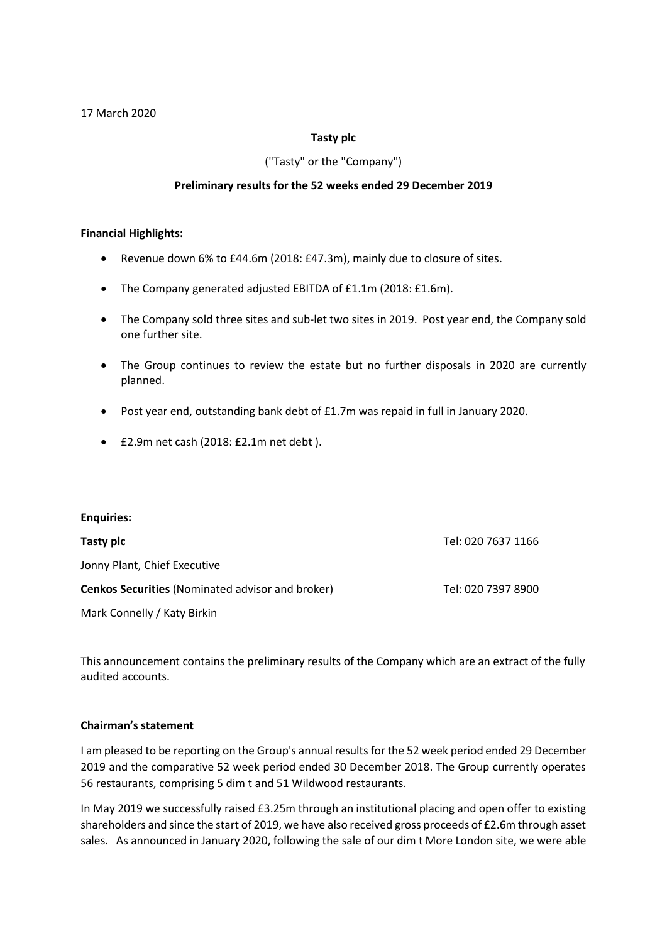# **Tasty plc**

# ("Tasty" or the "Company")

# **Preliminary results for the 52 weeks ended 29 December 2019**

### **Financial Highlights:**

- Revenue down 6% to £44.6m (2018: £47.3m), mainly due to closure of sites.
- The Company generated adjusted EBITDA of £1.1m (2018: £1.6m).
- The Company sold three sites and sub-let two sites in 2019. Post year end, the Company sold one further site.
- The Group continues to review the estate but no further disposals in 2020 are currently planned.
- Post year end, outstanding bank debt of £1.7m was repaid in full in January 2020.
- £2.9m net cash (2018: £2.1m net debt ).

#### **Enquiries:**

| Tasty plc                                               | Tel: 020 7637 1166 |
|---------------------------------------------------------|--------------------|
| Jonny Plant, Chief Executive                            |                    |
| <b>Cenkos Securities</b> (Nominated advisor and broker) | Tel: 020 7397 8900 |
| Mark Connelly / Katy Birkin                             |                    |

This announcement contains the preliminary results of the Company which are an extract of the fully audited accounts.

# **Chairman's statement**

I am pleased to be reporting on the Group's annual results for the 52 week period ended 29 December 2019 and the comparative 52 week period ended 30 December 2018. The Group currently operates 56 restaurants, comprising 5 dim t and 51 Wildwood restaurants.

In May 2019 we successfully raised £3.25m through an institutional placing and open offer to existing shareholders and since the start of 2019, we have also received gross proceeds of £2.6m through asset sales. As announced in January 2020, following the sale of our dim t More London site, we were able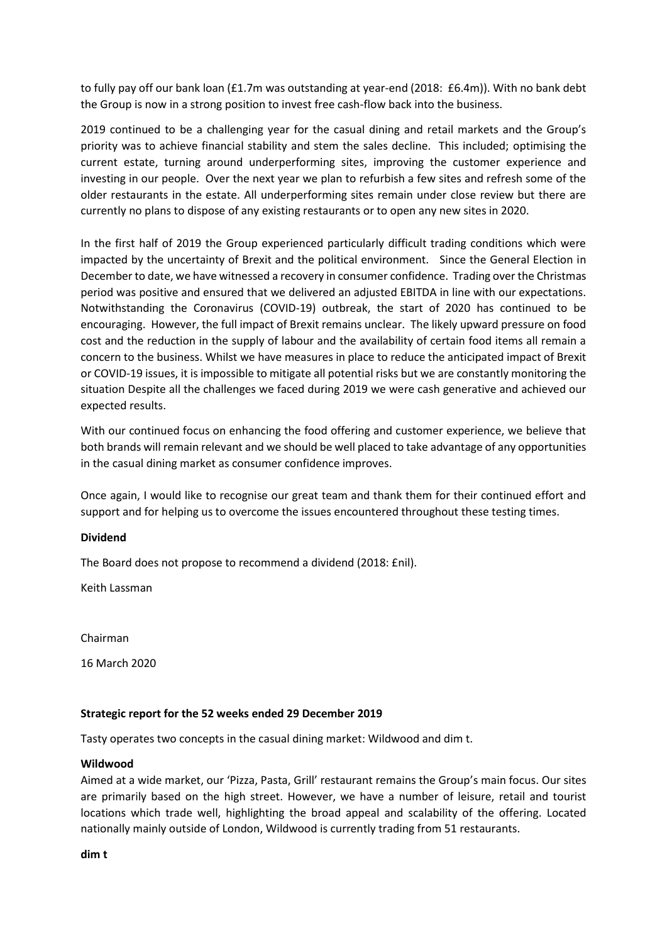to fully pay off our bank loan (£1.7m was outstanding at year-end (2018: £6.4m)). With no bank debt the Group is now in a strong position to invest free cash-flow back into the business.

2019 continued to be a challenging year for the casual dining and retail markets and the Group's priority was to achieve financial stability and stem the sales decline. This included; optimising the current estate, turning around underperforming sites, improving the customer experience and investing in our people. Over the next year we plan to refurbish a few sites and refresh some of the older restaurants in the estate. All underperforming sites remain under close review but there are currently no plans to dispose of any existing restaurants or to open any new sites in 2020.

In the first half of 2019 the Group experienced particularly difficult trading conditions which were impacted by the uncertainty of Brexit and the political environment. Since the General Election in December to date, we have witnessed a recovery in consumer confidence. Trading over the Christmas period was positive and ensured that we delivered an adjusted EBITDA in line with our expectations. Notwithstanding the Coronavirus (COVID-19) outbreak, the start of 2020 has continued to be encouraging. However, the full impact of Brexit remains unclear. The likely upward pressure on food cost and the reduction in the supply of labour and the availability of certain food items all remain a concern to the business. Whilst we have measures in place to reduce the anticipated impact of Brexit or COVID-19 issues, it is impossible to mitigate all potential risks but we are constantly monitoring the situation Despite all the challenges we faced during 2019 we were cash generative and achieved our expected results.

With our continued focus on enhancing the food offering and customer experience, we believe that both brands will remain relevant and we should be well placed to take advantage of any opportunities in the casual dining market as consumer confidence improves.

Once again, I would like to recognise our great team and thank them for their continued effort and support and for helping us to overcome the issues encountered throughout these testing times.

# **Dividend**

The Board does not propose to recommend a dividend (2018: £nil).

Keith Lassman

Chairman

16 March 2020

# **Strategic report for the 52 weeks ended 29 December 2019**

Tasty operates two concepts in the casual dining market: Wildwood and dim t.

# **Wildwood**

Aimed at a wide market, our 'Pizza, Pasta, Grill' restaurant remains the Group's main focus. Our sites are primarily based on the high street. However, we have a number of leisure, retail and tourist locations which trade well, highlighting the broad appeal and scalability of the offering. Located nationally mainly outside of London, Wildwood is currently trading from 51 restaurants.

**dim t**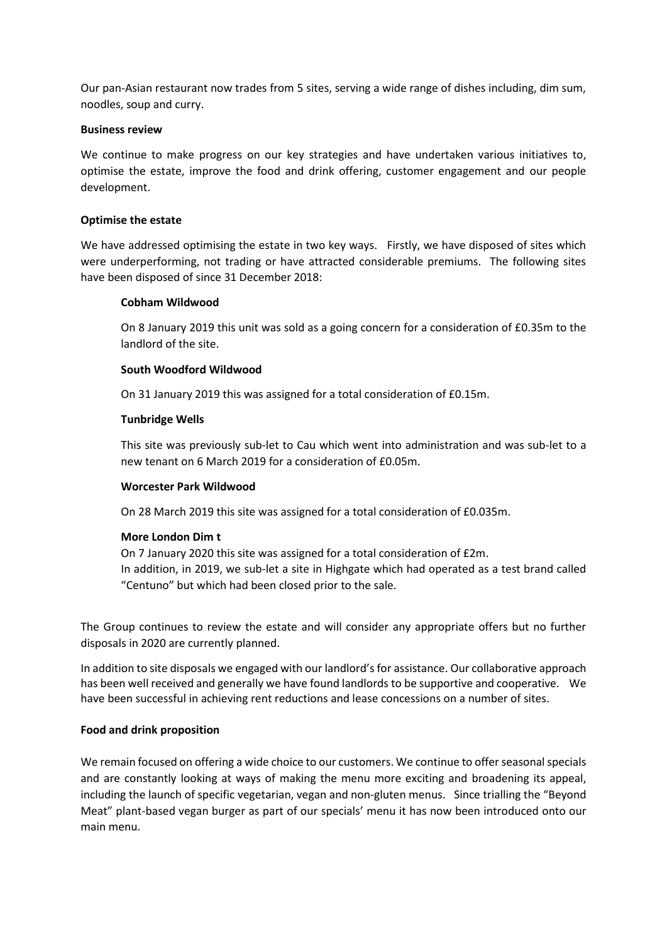Our pan-Asian restaurant now trades from 5 sites, serving a wide range of dishes including, dim sum, noodles, soup and curry.

### **Business review**

We continue to make progress on our key strategies and have undertaken various initiatives to, optimise the estate, improve the food and drink offering, customer engagement and our people development.

### **Optimise the estate**

We have addressed optimising the estate in two key ways. Firstly, we have disposed of sites which were underperforming, not trading or have attracted considerable premiums. The following sites have been disposed of since 31 December 2018:

# **Cobham Wildwood**

On 8 January 2019 this unit was sold as a going concern for a consideration of £0.35m to the landlord of the site.

#### **South Woodford Wildwood**

On 31 January 2019 this was assigned for a total consideration of £0.15m.

#### **Tunbridge Wells**

This site was previously sub-let to Cau which went into administration and was sub-let to a new tenant on 6 March 2019 for a consideration of £0.05m.

#### **Worcester Park Wildwood**

On 28 March 2019 this site was assigned for a total consideration of £0.035m.

#### **More London Dim t**

On 7 January 2020 this site was assigned for a total consideration of £2m. In addition, in 2019, we sub-let a site in Highgate which had operated as a test brand called "Centuno" but which had been closed prior to the sale.

The Group continues to review the estate and will consider any appropriate offers but no further disposals in 2020 are currently planned.

In addition to site disposals we engaged with our landlord's for assistance. Our collaborative approach has been well received and generally we have found landlords to be supportive and cooperative. We have been successful in achieving rent reductions and lease concessions on a number of sites.

# **Food and drink proposition**

We remain focused on offering a wide choice to our customers. We continue to offer seasonal specials and are constantly looking at ways of making the menu more exciting and broadening its appeal, including the launch of specific vegetarian, vegan and non-gluten menus. Since trialling the "Beyond Meat" plant-based vegan burger as part of our specials' menu it has now been introduced onto our main menu.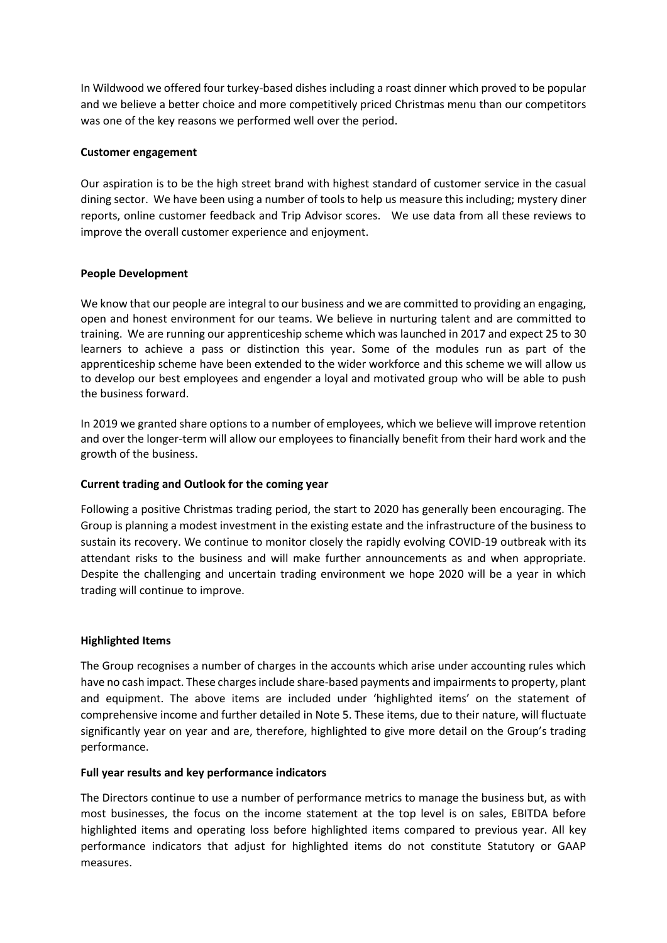In Wildwood we offered four turkey-based dishes including a roast dinner which proved to be popular and we believe a better choice and more competitively priced Christmas menu than our competitors was one of the key reasons we performed well over the period.

# **Customer engagement**

Our aspiration is to be the high street brand with highest standard of customer service in the casual dining sector. We have been using a number of tools to help us measure this including; mystery diner reports, online customer feedback and Trip Advisor scores. We use data from all these reviews to improve the overall customer experience and enjoyment.

# **People Development**

We know that our people are integral to our business and we are committed to providing an engaging, open and honest environment for our teams. We believe in nurturing talent and are committed to training. We are running our apprenticeship scheme which was launched in 2017 and expect 25 to 30 learners to achieve a pass or distinction this year. Some of the modules run as part of the apprenticeship scheme have been extended to the wider workforce and this scheme we will allow us to develop our best employees and engender a loyal and motivated group who will be able to push the business forward.

In 2019 we granted share options to a number of employees, which we believe will improve retention and over the longer-term will allow our employees to financially benefit from their hard work and the growth of the business.

# **Current trading and Outlook for the coming year**

Following a positive Christmas trading period, the start to 2020 has generally been encouraging. The Group is planning a modest investment in the existing estate and the infrastructure of the business to sustain its recovery. We continue to monitor closely the rapidly evolving COVID-19 outbreak with its attendant risks to the business and will make further announcements as and when appropriate. Despite the challenging and uncertain trading environment we hope 2020 will be a year in which trading will continue to improve.

# **Highlighted Items**

The Group recognises a number of charges in the accounts which arise under accounting rules which have no cash impact. These charges include share-based payments and impairments to property, plant and equipment. The above items are included under 'highlighted items' on the statement of comprehensive income and further detailed in Note 5. These items, due to their nature, will fluctuate significantly year on year and are, therefore, highlighted to give more detail on the Group's trading performance.

# **Full year results and key performance indicators**

The Directors continue to use a number of performance metrics to manage the business but, as with most businesses, the focus on the income statement at the top level is on sales, EBITDA before highlighted items and operating loss before highlighted items compared to previous year. All key performance indicators that adjust for highlighted items do not constitute Statutory or GAAP measures.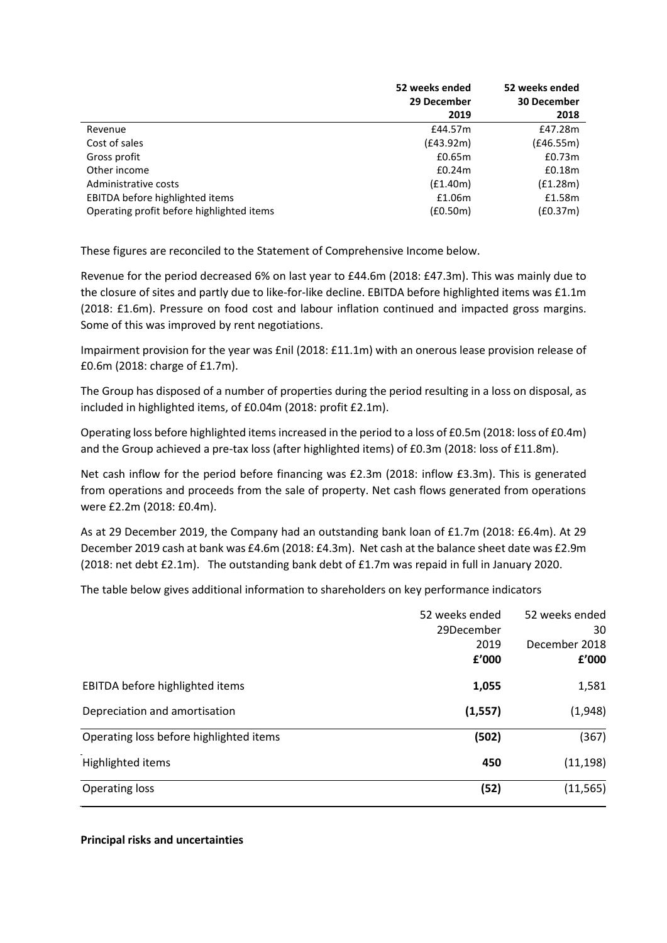|                                           | 52 weeks ended | 52 weeks ended     |
|-------------------------------------------|----------------|--------------------|
|                                           | 29 December    | <b>30 December</b> |
|                                           | 2019           | 2018               |
| Revenue                                   | £44.57m        | £47.28m            |
| Cost of sales                             | (f43.92m)      | (E46.55m)          |
| Gross profit                              | £0.65m         | £0.73m             |
| Other income                              | E0.24m         | £0.18m             |
| Administrative costs                      | (E1.40m)       | (£1.28m)           |
| EBITDA before highlighted items           | £1.06m         | £1.58m             |
| Operating profit before highlighted items | f(0.50m)       | (£0.37m)           |

These figures are reconciled to the Statement of Comprehensive Income below.

Revenue for the period decreased 6% on last year to £44.6m (2018: £47.3m). This was mainly due to the closure of sites and partly due to like-for-like decline. EBITDA before highlighted items was £1.1m (2018: £1.6m). Pressure on food cost and labour inflation continued and impacted gross margins. Some of this was improved by rent negotiations.

Impairment provision for the year was £nil (2018: £11.1m) with an onerous lease provision release of £0.6m (2018: charge of £1.7m).

The Group has disposed of a number of properties during the period resulting in a loss on disposal, as included in highlighted items, of £0.04m (2018: profit £2.1m).

Operating loss before highlighted items increased in the period to a loss of £0.5m (2018: loss of £0.4m) and the Group achieved a pre-tax loss (after highlighted items) of £0.3m (2018: loss of £11.8m).

Net cash inflow for the period before financing was £2.3m (2018: inflow £3.3m). This is generated from operations and proceeds from the sale of property. Net cash flows generated from operations were £2.2m (2018: £0.4m).

As at 29 December 2019, the Company had an outstanding bank loan of £1.7m (2018: £6.4m). At 29 December 2019 cash at bank was £4.6m (2018: £4.3m). Net cash at the balance sheet date was £2.9m (2018: net debt £2.1m). The outstanding bank debt of £1.7m was repaid in full in January 2020.

The table below gives additional information to shareholders on key performance indicators

|                                         | 52 weeks ended<br>29December<br>2019<br>£'000 | 52 weeks ended<br>30<br>December 2018<br>f'000 |
|-----------------------------------------|-----------------------------------------------|------------------------------------------------|
| EBITDA before highlighted items         | 1,055                                         | 1,581                                          |
| Depreciation and amortisation           | (1, 557)                                      | (1,948)                                        |
| Operating loss before highlighted items | (502)                                         | (367)                                          |
| Highlighted items                       | 450                                           | (11, 198)                                      |
| Operating loss                          | (52)                                          | (11, 565)                                      |

**Principal risks and uncertainties**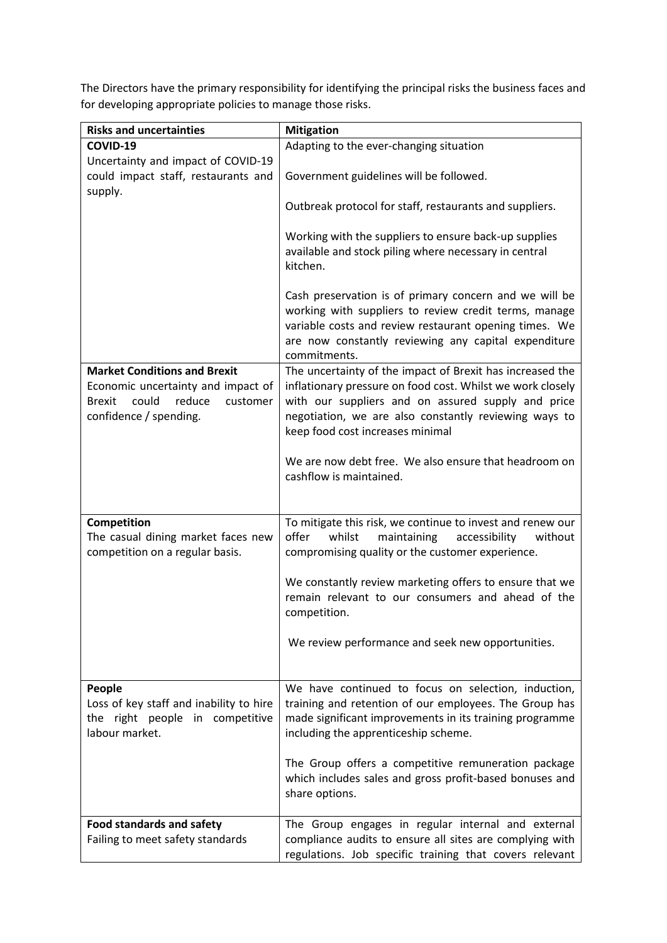The Directors have the primary responsibility for identifying the principal risks the business faces and for developing appropriate policies to manage those risks.

| <b>Risks and uncertainties</b>                                                                                                                      | <b>Mitigation</b>                                                                                                                                                                                                                                                          |
|-----------------------------------------------------------------------------------------------------------------------------------------------------|----------------------------------------------------------------------------------------------------------------------------------------------------------------------------------------------------------------------------------------------------------------------------|
| COVID-19                                                                                                                                            | Adapting to the ever-changing situation                                                                                                                                                                                                                                    |
| Uncertainty and impact of COVID-19                                                                                                                  |                                                                                                                                                                                                                                                                            |
| could impact staff, restaurants and<br>supply.                                                                                                      | Government guidelines will be followed.                                                                                                                                                                                                                                    |
|                                                                                                                                                     | Outbreak protocol for staff, restaurants and suppliers.                                                                                                                                                                                                                    |
|                                                                                                                                                     | Working with the suppliers to ensure back-up supplies<br>available and stock piling where necessary in central<br>kitchen.                                                                                                                                                 |
|                                                                                                                                                     | Cash preservation is of primary concern and we will be<br>working with suppliers to review credit terms, manage<br>variable costs and review restaurant opening times. We<br>are now constantly reviewing any capital expenditure<br>commitments.                          |
| <b>Market Conditions and Brexit</b><br>Economic uncertainty and impact of<br>reduce<br><b>Brexit</b><br>could<br>customer<br>confidence / spending. | The uncertainty of the impact of Brexit has increased the<br>inflationary pressure on food cost. Whilst we work closely<br>with our suppliers and on assured supply and price<br>negotiation, we are also constantly reviewing ways to<br>keep food cost increases minimal |
|                                                                                                                                                     | We are now debt free. We also ensure that headroom on<br>cashflow is maintained.                                                                                                                                                                                           |
| Competition<br>The casual dining market faces new<br>competition on a regular basis.                                                                | To mitigate this risk, we continue to invest and renew our<br>whilst<br>offer<br>maintaining<br>accessibility<br>without<br>compromising quality or the customer experience.                                                                                               |
|                                                                                                                                                     | We constantly review marketing offers to ensure that we<br>remain relevant to our consumers and ahead of the<br>competition.                                                                                                                                               |
|                                                                                                                                                     | We review performance and seek new opportunities.                                                                                                                                                                                                                          |
| People<br>Loss of key staff and inability to hire<br>the right people in competitive<br>labour market.                                              | We have continued to focus on selection, induction,<br>training and retention of our employees. The Group has<br>made significant improvements in its training programme<br>including the apprenticeship scheme.                                                           |
|                                                                                                                                                     | The Group offers a competitive remuneration package<br>which includes sales and gross profit-based bonuses and<br>share options.                                                                                                                                           |
| <b>Food standards and safety</b>                                                                                                                    | The Group engages in regular internal and external                                                                                                                                                                                                                         |
| Failing to meet safety standards                                                                                                                    | compliance audits to ensure all sites are complying with<br>regulations. Job specific training that covers relevant                                                                                                                                                        |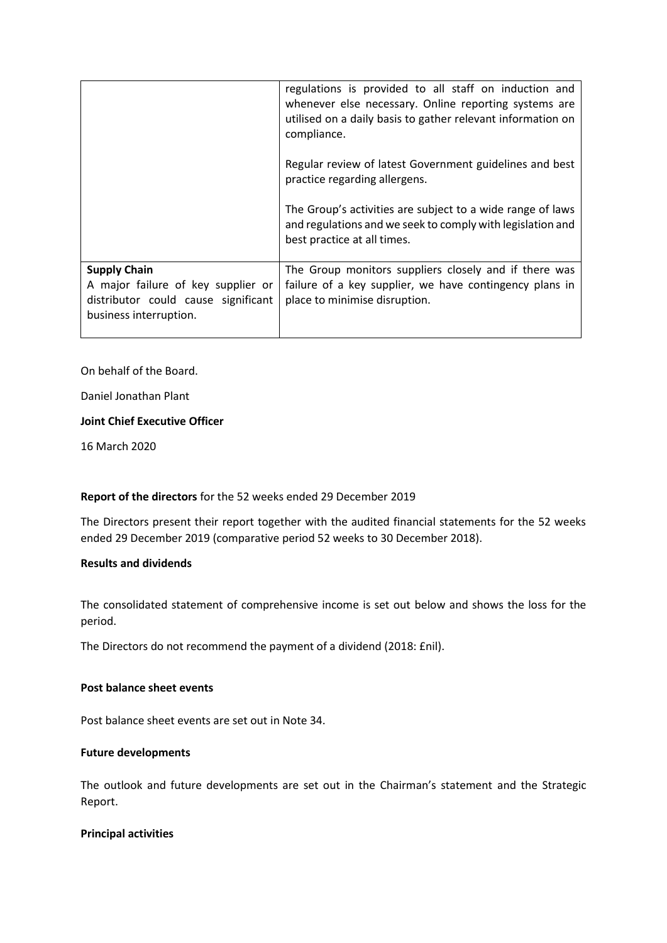|                                                                                                                            | regulations is provided to all staff on induction and<br>whenever else necessary. Online reporting systems are<br>utilised on a daily basis to gather relevant information on<br>compliance. |
|----------------------------------------------------------------------------------------------------------------------------|----------------------------------------------------------------------------------------------------------------------------------------------------------------------------------------------|
|                                                                                                                            | Regular review of latest Government guidelines and best<br>practice regarding allergens.                                                                                                     |
|                                                                                                                            | The Group's activities are subject to a wide range of laws<br>and regulations and we seek to comply with legislation and<br>best practice at all times.                                      |
| <b>Supply Chain</b><br>A major failure of key supplier or<br>distributor could cause significant<br>business interruption. | The Group monitors suppliers closely and if there was<br>failure of a key supplier, we have contingency plans in<br>place to minimise disruption.                                            |

On behalf of the Board.

Daniel Jonathan Plant

# **Joint Chief Executive Officer**

16 March 2020

# **Report of the directors** for the 52 weeks ended 29 December 2019

The Directors present their report together with the audited financial statements for the 52 weeks ended 29 December 2019 (comparative period 52 weeks to 30 December 2018).

# **Results and dividends**

The consolidated statement of comprehensive income is set out below and shows the loss for the period.

The Directors do not recommend the payment of a dividend (2018: £nil).

# **Post balance sheet events**

Post balance sheet events are set out in Note 34.

# **Future developments**

The outlook and future developments are set out in the Chairman's statement and the Strategic Report.

# **Principal activities**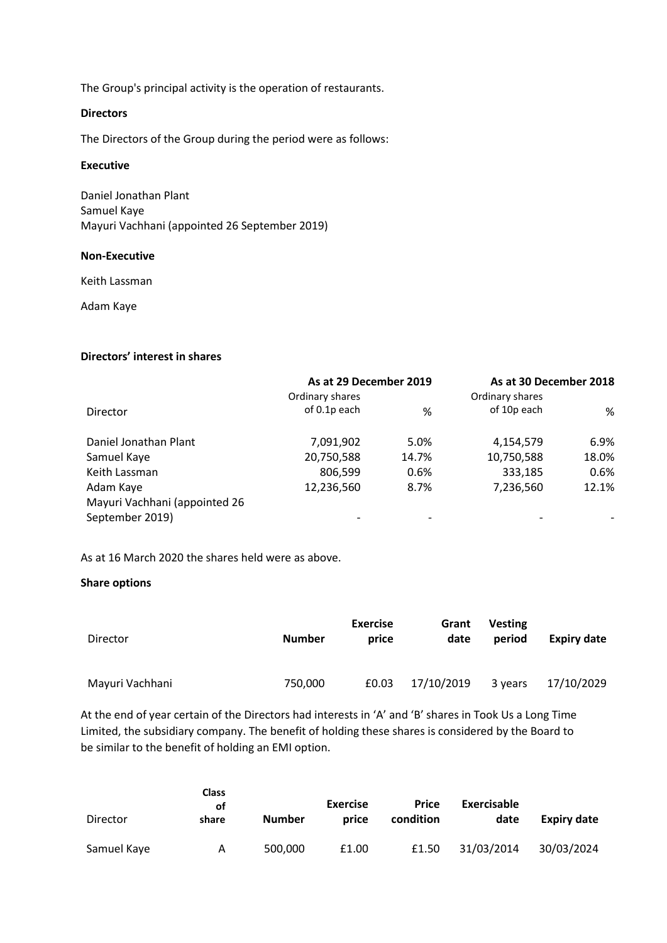The Group's principal activity is the operation of restaurants.

#### **Directors**

The Directors of the Group during the period were as follows:

# **Executive**

Daniel Jonathan Plant Samuel Kaye Mayuri Vachhani (appointed 26 September 2019)

#### **Non-Executive**

Keith Lassman

Adam Kaye

# **Directors' interest in shares**

|                               | As at 29 December 2019 |                          | As at 30 December 2018 |       |  |
|-------------------------------|------------------------|--------------------------|------------------------|-------|--|
|                               | Ordinary shares        |                          | Ordinary shares        |       |  |
| Director                      | of 0.1p each           | %                        | of 10p each            | %     |  |
| Daniel Jonathan Plant         | 7,091,902              | 5.0%                     | 4,154,579              | 6.9%  |  |
| Samuel Kaye                   | 20,750,588             | 14.7%                    | 10,750,588             | 18.0% |  |
| Keith Lassman                 | 806,599                | 0.6%                     | 333,185                | 0.6%  |  |
| Adam Kaye                     | 12,236,560             | 8.7%                     | 7,236,560              | 12.1% |  |
| Mayuri Vachhani (appointed 26 |                        |                          |                        |       |  |
| September 2019)               |                        | $\overline{\phantom{a}}$ |                        |       |  |

As at 16 March 2020 the shares held were as above.

#### **Share options**

| Director        | <b>Number</b> | <b>Exercise</b><br>price | Grant<br>date | <b>Vesting</b><br>period | <b>Expiry date</b> |
|-----------------|---------------|--------------------------|---------------|--------------------------|--------------------|
| Mayuri Vachhani | 750,000       | £0.03                    | 17/10/2019    | 3 years                  | 17/10/2029         |

At the end of year certain of the Directors had interests in 'A' and 'B' shares in Took Us a Long Time Limited, the subsidiary company. The benefit of holding these shares is considered by the Board to be similar to the benefit of holding an EMI option.

| Director    | Class<br>of<br>share | <b>Number</b> | <b>Exercise</b><br>price | <b>Price</b><br>condition | Exercisable<br>date | Expiry date |
|-------------|----------------------|---------------|--------------------------|---------------------------|---------------------|-------------|
| Samuel Kaye | Α                    | 500,000       | £1.00                    | £1.50                     | 31/03/2014          | 30/03/2024  |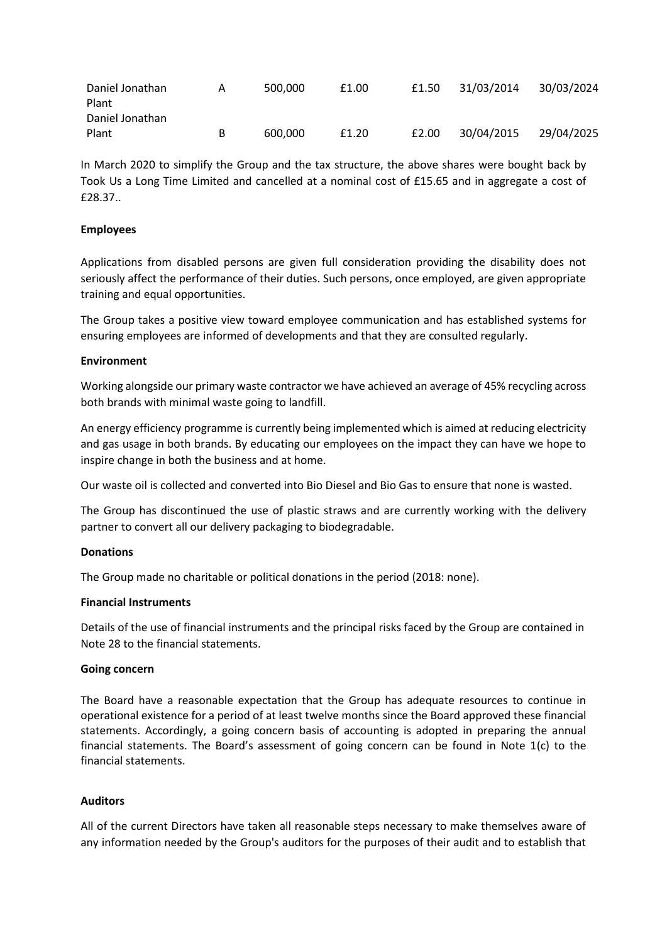| Daniel Jonathan<br>Plant | A | 500,000 | £1.00 | £1.50 | 31/03/2014 | 30/03/2024 |
|--------------------------|---|---------|-------|-------|------------|------------|
| Daniel Jonathan          |   |         |       |       |            |            |
| Plant                    | B | 600.000 | £1.20 | £2.00 | 30/04/2015 | 29/04/2025 |

In March 2020 to simplify the Group and the tax structure, the above shares were bought back by Took Us a Long Time Limited and cancelled at a nominal cost of £15.65 and in aggregate a cost of £28.37..

# **Employees**

Applications from disabled persons are given full consideration providing the disability does not seriously affect the performance of their duties. Such persons, once employed, are given appropriate training and equal opportunities.

The Group takes a positive view toward employee communication and has established systems for ensuring employees are informed of developments and that they are consulted regularly.

# **Environment**

Working alongside our primary waste contractor we have achieved an average of 45% recycling across both brands with minimal waste going to landfill.

An energy efficiency programme is currently being implemented which is aimed at reducing electricity and gas usage in both brands. By educating our employees on the impact they can have we hope to inspire change in both the business and at home.

Our waste oil is collected and converted into Bio Diesel and Bio Gas to ensure that none is wasted.

The Group has discontinued the use of plastic straws and are currently working with the delivery partner to convert all our delivery packaging to biodegradable.

# **Donations**

The Group made no charitable or political donations in the period (2018: none).

# **Financial Instruments**

Details of the use of financial instruments and the principal risks faced by the Group are contained in Note 28 to the financial statements.

# **Going concern**

The Board have a reasonable expectation that the Group has adequate resources to continue in operational existence for a period of at least twelve months since the Board approved these financial statements. Accordingly, a going concern basis of accounting is adopted in preparing the annual financial statements. The Board's assessment of going concern can be found in Note 1(c) to the financial statements.

# **Auditors**

All of the current Directors have taken all reasonable steps necessary to make themselves aware of any information needed by the Group's auditors for the purposes of their audit and to establish that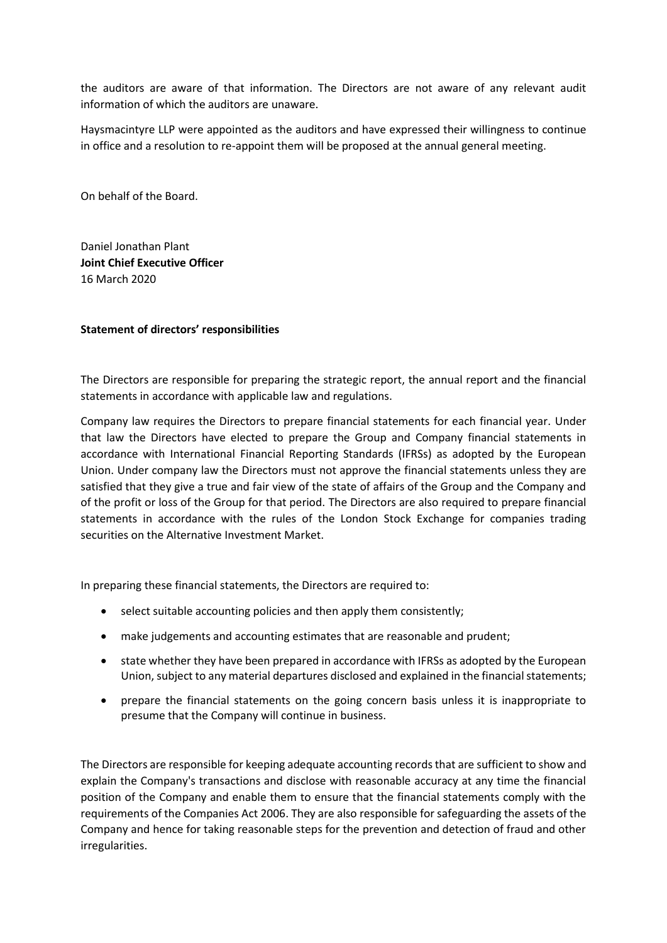the auditors are aware of that information. The Directors are not aware of any relevant audit information of which the auditors are unaware.

Haysmacintyre LLP were appointed as the auditors and have expressed their willingness to continue in office and a resolution to re-appoint them will be proposed at the annual general meeting.

On behalf of the Board.

Daniel Jonathan Plant **Joint Chief Executive Officer** 16 March 2020

# **Statement of directors' responsibilities**

The Directors are responsible for preparing the strategic report, the annual report and the financial statements in accordance with applicable law and regulations.

Company law requires the Directors to prepare financial statements for each financial year. Under that law the Directors have elected to prepare the Group and Company financial statements in accordance with International Financial Reporting Standards (IFRSs) as adopted by the European Union. Under company law the Directors must not approve the financial statements unless they are satisfied that they give a true and fair view of the state of affairs of the Group and the Company and of the profit or loss of the Group for that period. The Directors are also required to prepare financial statements in accordance with the rules of the London Stock Exchange for companies trading securities on the Alternative Investment Market.

In preparing these financial statements, the Directors are required to:

- select suitable accounting policies and then apply them consistently;
- make judgements and accounting estimates that are reasonable and prudent;
- state whether they have been prepared in accordance with IFRSs as adopted by the European Union, subject to any material departures disclosed and explained in the financial statements;
- prepare the financial statements on the going concern basis unless it is inappropriate to presume that the Company will continue in business.

The Directors are responsible for keeping adequate accounting records that are sufficient to show and explain the Company's transactions and disclose with reasonable accuracy at any time the financial position of the Company and enable them to ensure that the financial statements comply with the requirements of the Companies Act 2006. They are also responsible for safeguarding the assets of the Company and hence for taking reasonable steps for the prevention and detection of fraud and other irregularities.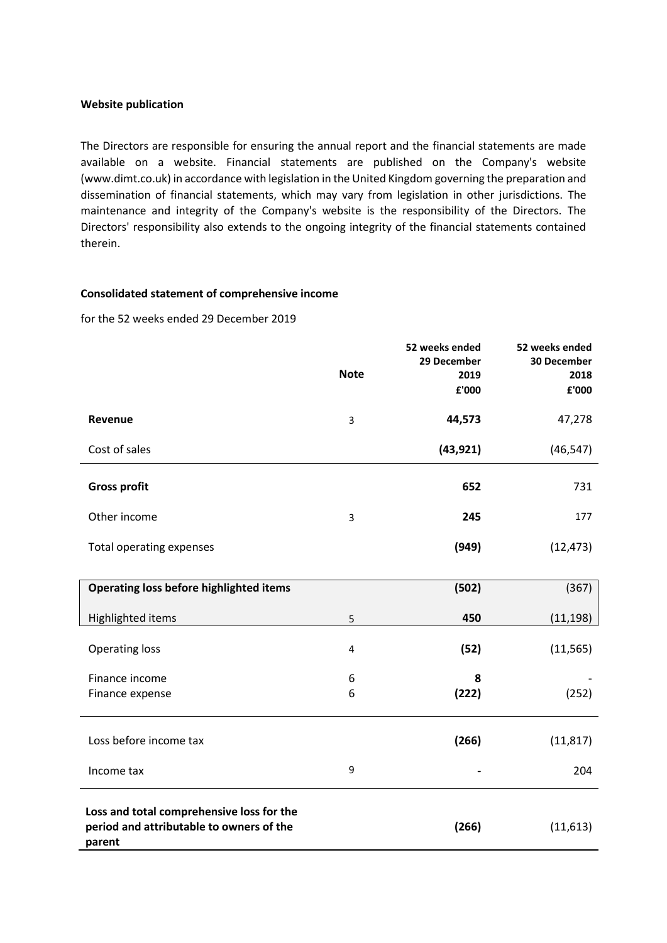### **Website publication**

The Directors are responsible for ensuring the annual report and the financial statements are made available on a website. Financial statements are published on the Company's website (www.dimt.co.uk) in accordance with legislation in the United Kingdom governing the preparation and dissemination of financial statements, which may vary from legislation in other jurisdictions. The maintenance and integrity of the Company's website is the responsibility of the Directors. The Directors' responsibility also extends to the ongoing integrity of the financial statements contained therein.

#### **Consolidated statement of comprehensive income**

for the 52 weeks ended 29 December 2019

|                                                                                                 | <b>Note</b>             | 52 weeks ended<br>29 December<br>2019<br>£'000 | 52 weeks ended<br>30 December<br>2018<br>£'000 |
|-------------------------------------------------------------------------------------------------|-------------------------|------------------------------------------------|------------------------------------------------|
| Revenue                                                                                         | 3                       | 44,573                                         | 47,278                                         |
| Cost of sales                                                                                   |                         | (43, 921)                                      | (46, 547)                                      |
| <b>Gross profit</b>                                                                             |                         | 652                                            | 731                                            |
| Other income                                                                                    | 3                       | 245                                            | 177                                            |
| <b>Total operating expenses</b>                                                                 |                         | (949)                                          | (12, 473)                                      |
| <b>Operating loss before highlighted items</b>                                                  |                         | (502)                                          | (367)                                          |
| Highlighted items                                                                               | 5                       | 450                                            | (11, 198)                                      |
| <b>Operating loss</b>                                                                           | $\overline{\mathbf{4}}$ | (52)                                           | (11, 565)                                      |
| Finance income                                                                                  | 6                       | 8                                              |                                                |
| Finance expense                                                                                 | 6                       | (222)                                          | (252)                                          |
| Loss before income tax                                                                          |                         | (266)                                          | (11, 817)                                      |
| Income tax                                                                                      | 9                       |                                                | 204                                            |
| Loss and total comprehensive loss for the<br>period and attributable to owners of the<br>parent |                         | (266)                                          | (11,613)                                       |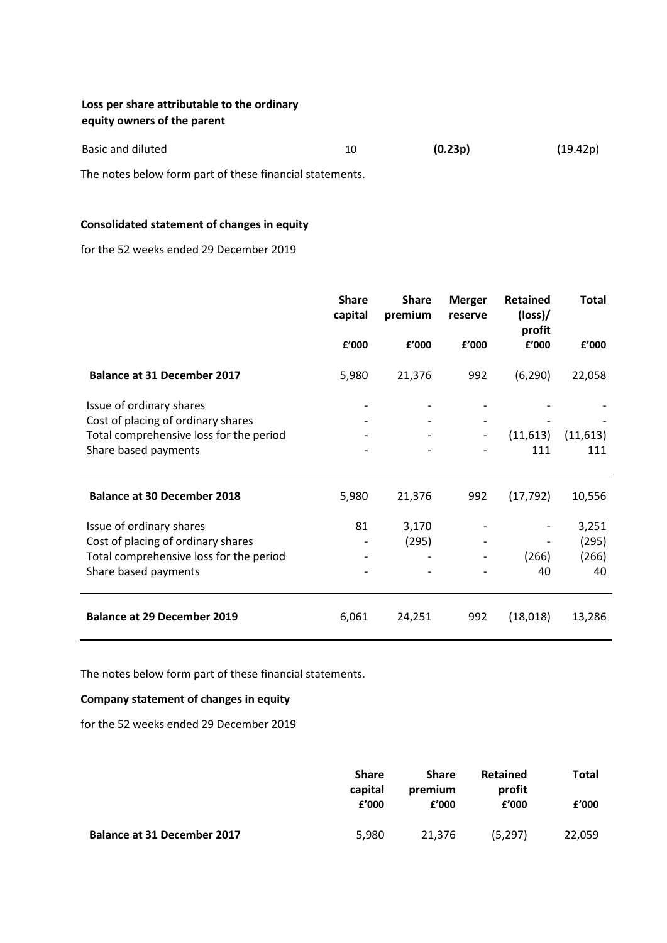# **Loss per share attributable to the ordinary equity owners of the parent**

| Basic and diluted | (0.23p) | (19.42p) |
|-------------------|---------|----------|
|                   |         |          |

The notes below form part of these financial statements.

# **Consolidated statement of changes in equity**

for the 52 weeks ended 29 December 2019

|                                         | <b>Share</b><br>capital | <b>Share</b><br>premium | <b>Merger</b><br>reserve | <b>Retained</b><br>(loss)<br>profit | <b>Total</b> |
|-----------------------------------------|-------------------------|-------------------------|--------------------------|-------------------------------------|--------------|
|                                         | £'000                   | f'000                   | £'000                    | f'000                               | £'000        |
| <b>Balance at 31 December 2017</b>      | 5,980                   | 21,376                  | 992                      | (6, 290)                            | 22,058       |
| Issue of ordinary shares                |                         |                         |                          |                                     |              |
| Cost of placing of ordinary shares      |                         |                         |                          |                                     |              |
| Total comprehensive loss for the period |                         |                         |                          | (11,613)                            | (11,613)     |
| Share based payments                    |                         |                         |                          | 111                                 | 111          |
| <b>Balance at 30 December 2018</b>      | 5,980                   | 21,376                  | 992                      | (17, 792)                           | 10,556       |
| Issue of ordinary shares                | 81                      | 3,170                   |                          |                                     | 3,251        |
| Cost of placing of ordinary shares      |                         | (295)                   |                          |                                     | (295)        |
| Total comprehensive loss for the period |                         |                         |                          | (266)                               | (266)        |
| Share based payments                    |                         |                         |                          | 40                                  | 40           |
| <b>Balance at 29 December 2019</b>      | 6,061                   | 24,251                  | 992                      | (18,018)                            | 13,286       |

The notes below form part of these financial statements.

# **Company statement of changes in equity**

for the 52 weeks ended 29 December 2019

|                                    | <b>Share</b><br>capital | <b>Share</b><br>premium | Retained<br>profit | Total  |
|------------------------------------|-------------------------|-------------------------|--------------------|--------|
|                                    | f'000                   | f'000                   | £'000              | £'000  |
| <b>Balance at 31 December 2017</b> | 5,980                   | 21.376                  | (5.297)            | 22.059 |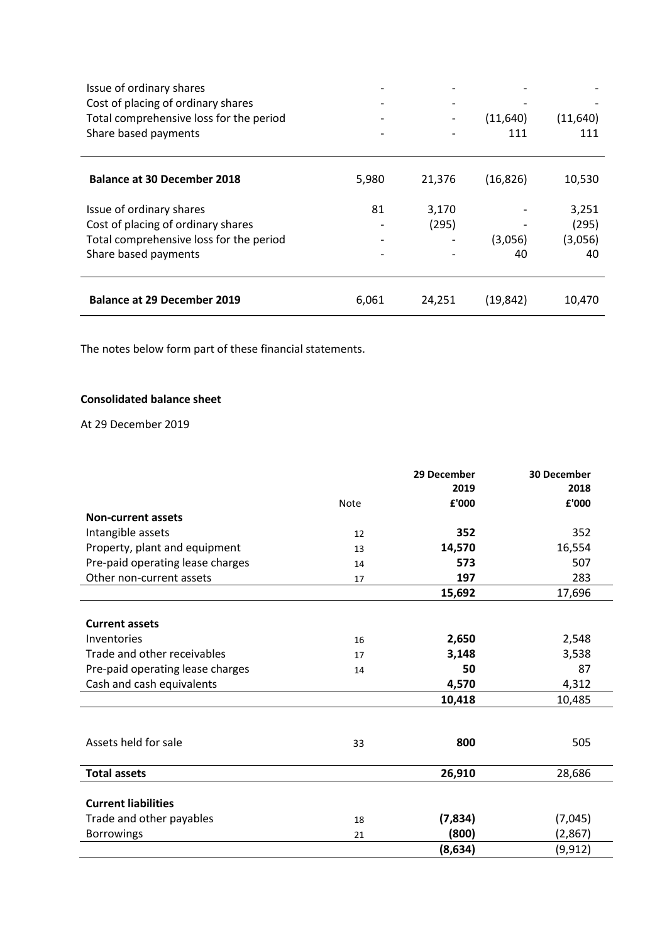| Issue of ordinary shares<br>Cost of placing of ordinary shares<br>Total comprehensive loss for the period<br>Share based payments |       |                | (11,640)<br>111 | (11,640)<br>111                 |
|-----------------------------------------------------------------------------------------------------------------------------------|-------|----------------|-----------------|---------------------------------|
| <b>Balance at 30 December 2018</b>                                                                                                | 5,980 | 21,376         | (16, 826)       | 10,530                          |
| Issue of ordinary shares<br>Cost of placing of ordinary shares<br>Total comprehensive loss for the period<br>Share based payments | 81    | 3,170<br>(295) | (3,056)<br>40   | 3,251<br>(295)<br>(3,056)<br>40 |
| <b>Balance at 29 December 2019</b>                                                                                                | 6,061 | 24,251         | (19,842)        | 10,470                          |

The notes below form part of these financial statements.

# **Consolidated balance sheet**

At 29 December 2019

|                                  |             | 29 December | <b>30 December</b> |
|----------------------------------|-------------|-------------|--------------------|
|                                  |             | 2019        | 2018               |
|                                  | <b>Note</b> | £'000       | £'000              |
| <b>Non-current assets</b>        |             |             |                    |
| Intangible assets                | 12          | 352         | 352                |
| Property, plant and equipment    | 13          | 14,570      | 16,554             |
| Pre-paid operating lease charges | 14          | 573         | 507                |
| Other non-current assets         | 17          | 197         | 283                |
|                                  |             | 15,692      | 17,696             |
|                                  |             |             |                    |
| <b>Current assets</b>            |             |             |                    |
| Inventories                      | 16          | 2,650       | 2,548              |
| Trade and other receivables      | 17          | 3,148       | 3,538              |
| Pre-paid operating lease charges | 14          | 50          | 87                 |
| Cash and cash equivalents        |             | 4,570       | 4,312              |
|                                  |             | 10,418      | 10,485             |
|                                  |             |             |                    |
|                                  |             |             |                    |
| Assets held for sale             | 33          | 800         | 505                |
|                                  |             |             |                    |
| <b>Total assets</b>              |             | 26,910      | 28,686             |
|                                  |             |             |                    |
| <b>Current liabilities</b>       |             |             |                    |
| Trade and other payables         | 18          | (7, 834)    | (7,045)            |
| <b>Borrowings</b>                | 21          | (800)       | (2,867)            |
|                                  |             | (8,634)     | (9, 912)           |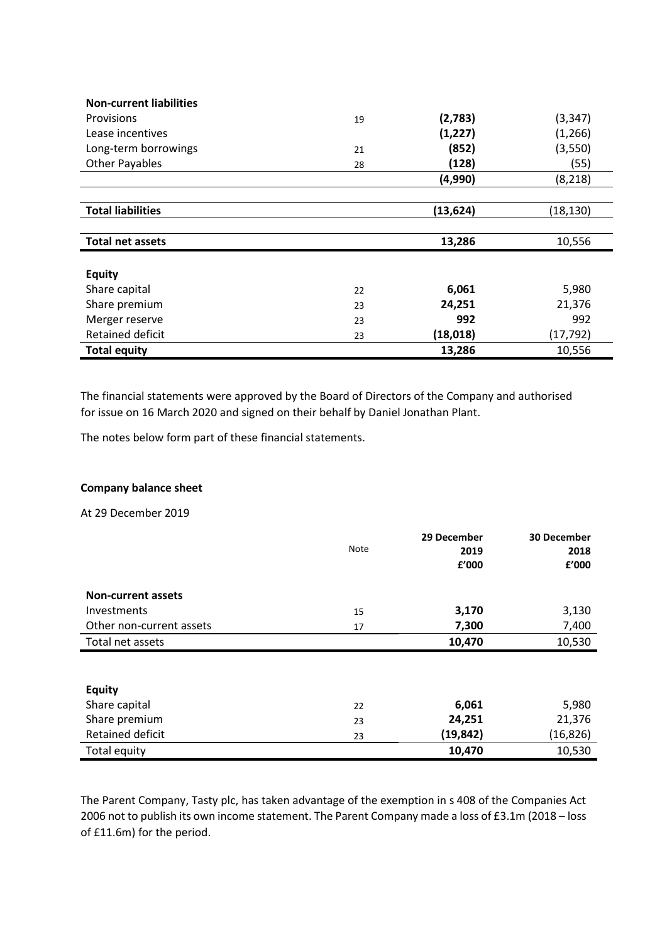| <b>Non-current liabilities</b> |    |           |           |
|--------------------------------|----|-----------|-----------|
| <b>Provisions</b>              | 19 | (2,783)   | (3, 347)  |
| Lease incentives               |    | (1, 227)  | (1, 266)  |
| Long-term borrowings           | 21 | (852)     | (3,550)   |
| <b>Other Payables</b>          | 28 | (128)     | (55)      |
|                                |    | (4,990)   | (8, 218)  |
|                                |    |           |           |
| <b>Total liabilities</b>       |    | (13, 624) | (18, 130) |
|                                |    |           |           |
| <b>Total net assets</b>        |    | 13,286    | 10,556    |
|                                |    |           |           |
| <b>Equity</b>                  |    |           |           |
| Share capital                  | 22 | 6,061     | 5,980     |
| Share premium                  | 23 | 24,251    | 21,376    |
| Merger reserve                 | 23 | 992       | 992       |
| Retained deficit               | 23 | (18, 018) | (17, 792) |
| <b>Total equity</b>            |    | 13,286    | 10,556    |

The financial statements were approved by the Board of Directors of the Company and authorised for issue on 16 March 2020 and signed on their behalf by Daniel Jonathan Plant.

The notes below form part of these financial statements.

#### **Company balance sheet**

At 29 December 2019

|                           | Note | 29 December<br>2019<br>£'000 | <b>30 December</b><br>2018<br>£'000 |
|---------------------------|------|------------------------------|-------------------------------------|
| <b>Non-current assets</b> |      |                              |                                     |
| Investments               | 15   | 3,170                        | 3,130                               |
| Other non-current assets  | 17   | 7,300                        | 7,400                               |
| Total net assets          |      | 10,470                       | 10,530                              |
|                           |      |                              |                                     |
| <b>Equity</b>             |      |                              |                                     |
| Share capital             | 22   | 6,061                        | 5,980                               |
| Share premium             | 23   | 24,251                       | 21,376                              |
| <b>Retained deficit</b>   | 23   | (19, 842)                    | (16,826)                            |
| Total equity              |      | 10,470                       | 10,530                              |

The Parent Company, Tasty plc, has taken advantage of the exemption in s 408 of the Companies Act 2006 not to publish its own income statement. The Parent Company made a loss of £3.1m (2018 – loss of £11.6m) for the period.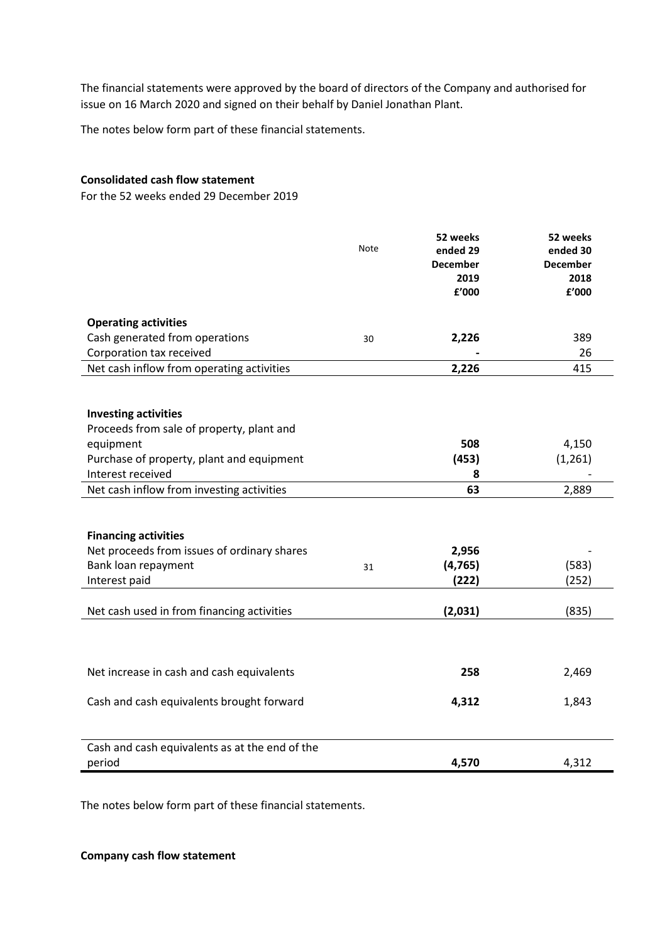The financial statements were approved by the board of directors of the Company and authorised for issue on 16 March 2020 and signed on their behalf by Daniel Jonathan Plant.

The notes below form part of these financial statements.

# **Consolidated cash flow statement**

For the 52 weeks ended 29 December 2019

| 52 weeks         | 52 weeks                                                                              |
|------------------|---------------------------------------------------------------------------------------|
|                  | ended 30                                                                              |
| <b>December</b>  | <b>December</b>                                                                       |
| 2019             | 2018                                                                                  |
|                  | £'000                                                                                 |
|                  |                                                                                       |
|                  | 389                                                                                   |
|                  | 26                                                                                    |
|                  |                                                                                       |
|                  | 415                                                                                   |
|                  |                                                                                       |
|                  |                                                                                       |
|                  |                                                                                       |
| 508              | 4,150                                                                                 |
| (453)            | (1,261)                                                                               |
| 8                |                                                                                       |
| 63               | 2,889                                                                                 |
|                  |                                                                                       |
|                  |                                                                                       |
|                  |                                                                                       |
|                  |                                                                                       |
|                  | (583)                                                                                 |
|                  | (252)                                                                                 |
|                  | (835)                                                                                 |
|                  |                                                                                       |
|                  |                                                                                       |
|                  |                                                                                       |
| 258              | 2,469                                                                                 |
|                  |                                                                                       |
| 4,312            | 1,843                                                                                 |
|                  |                                                                                       |
|                  |                                                                                       |
|                  | 4,312                                                                                 |
| Note<br>30<br>31 | ended 29<br>£'000<br>2,226<br>2,226<br>2,956<br>(4, 765)<br>(222)<br>(2,031)<br>4,570 |

The notes below form part of these financial statements.

### **Company cash flow statement**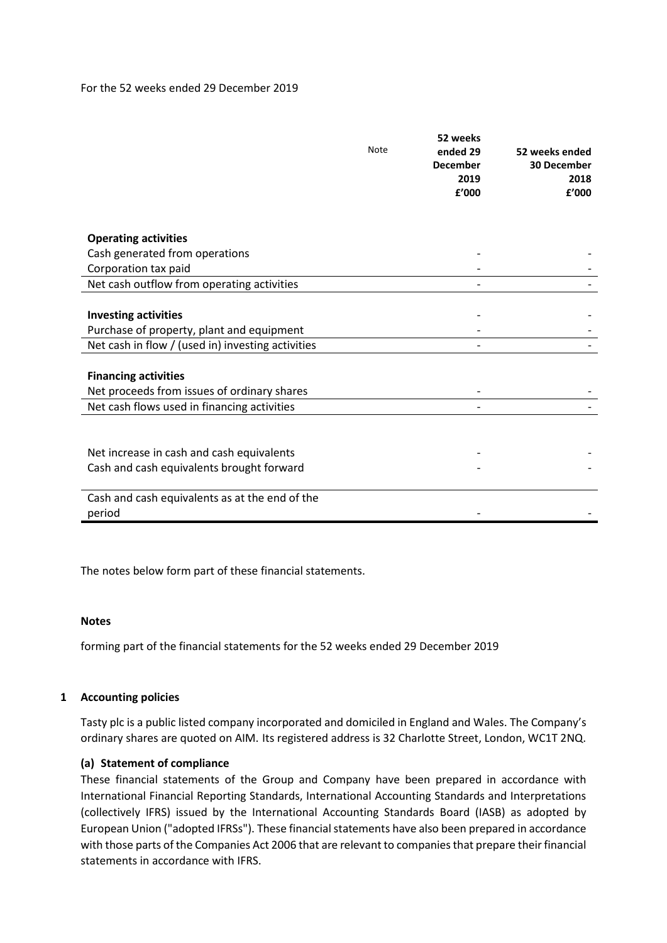#### For the 52 weeks ended 29 December 2019

|                                                                                                                               | <b>Note</b> | 52 weeks<br>ended 29<br><b>December</b><br>2019<br>£'000 | 52 weeks ended<br><b>30 December</b><br>2018<br>f'000 |
|-------------------------------------------------------------------------------------------------------------------------------|-------------|----------------------------------------------------------|-------------------------------------------------------|
| <b>Operating activities</b><br>Cash generated from operations<br>Corporation tax paid                                         |             |                                                          |                                                       |
| Net cash outflow from operating activities                                                                                    |             |                                                          |                                                       |
| <b>Investing activities</b><br>Purchase of property, plant and equipment<br>Net cash in flow / (used in) investing activities |             |                                                          |                                                       |
| <b>Financing activities</b><br>Net proceeds from issues of ordinary shares<br>Net cash flows used in financing activities     |             |                                                          |                                                       |
| Net increase in cash and cash equivalents<br>Cash and cash equivalents brought forward                                        |             |                                                          |                                                       |
| Cash and cash equivalents as at the end of the<br>period                                                                      |             |                                                          |                                                       |

The notes below form part of these financial statements.

#### **Notes**

forming part of the financial statements for the 52 weeks ended 29 December 2019

#### **1 Accounting policies**

Tasty plc is a public listed company incorporated and domiciled in England and Wales. The Company's ordinary shares are quoted on AIM. Its registered address is 32 Charlotte Street, London, WC1T 2NQ.

# **(a) Statement of compliance**

These financial statements of the Group and Company have been prepared in accordance with International Financial Reporting Standards, International Accounting Standards and Interpretations (collectively IFRS) issued by the International Accounting Standards Board (IASB) as adopted by European Union ("adopted IFRSs"). These financial statements have also been prepared in accordance with those parts of the Companies Act 2006 that are relevant to companies that prepare their financial statements in accordance with IFRS.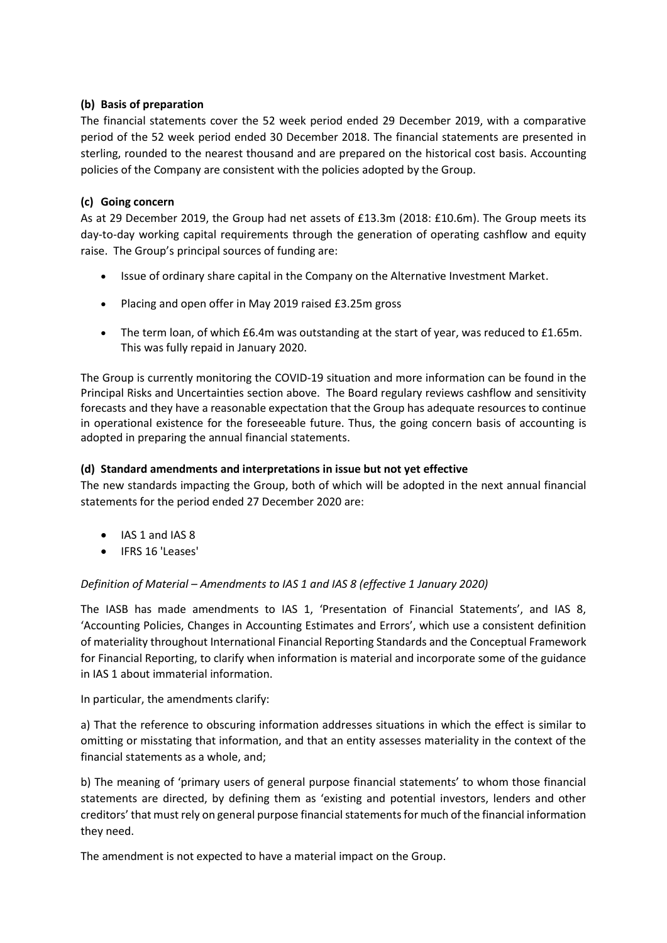# **(b) Basis of preparation**

The financial statements cover the 52 week period ended 29 December 2019, with a comparative period of the 52 week period ended 30 December 2018. The financial statements are presented in sterling, rounded to the nearest thousand and are prepared on the historical cost basis. Accounting policies of the Company are consistent with the policies adopted by the Group.

# **(c) Going concern**

As at 29 December 2019, the Group had net assets of £13.3m (2018: £10.6m). The Group meets its day-to-day working capital requirements through the generation of operating cashflow and equity raise. The Group's principal sources of funding are:

- Issue of ordinary share capital in the Company on the Alternative Investment Market.
- Placing and open offer in May 2019 raised £3.25m gross
- The term loan, of which £6.4m was outstanding at the start of year, was reduced to £1.65m. This was fully repaid in January 2020.

The Group is currently monitoring the COVID-19 situation and more information can be found in the Principal Risks and Uncertainties section above. The Board regulary reviews cashflow and sensitivity forecasts and they have a reasonable expectation that the Group has adequate resources to continue in operational existence for the foreseeable future. Thus, the going concern basis of accounting is adopted in preparing the annual financial statements.

# **(d) Standard amendments and interpretations in issue but not yet effective**

The new standards impacting the Group, both of which will be adopted in the next annual financial statements for the period ended 27 December 2020 are:

- IAS 1 and IAS 8
- IFRS 16 'Leases'

# *Definition of Material – Amendments to IAS 1 and IAS 8 (effective 1 January 2020)*

The IASB has made amendments to IAS 1, 'Presentation of Financial Statements', and IAS 8, 'Accounting Policies, Changes in Accounting Estimates and Errors', which use a consistent definition of materiality throughout International Financial Reporting Standards and the Conceptual Framework for Financial Reporting, to clarify when information is material and incorporate some of the guidance in IAS 1 about immaterial information.

In particular, the amendments clarify:

a) That the reference to obscuring information addresses situations in which the effect is similar to omitting or misstating that information, and that an entity assesses materiality in the context of the financial statements as a whole, and;

b) The meaning of 'primary users of general purpose financial statements' to whom those financial statements are directed, by defining them as 'existing and potential investors, lenders and other creditors' that must rely on general purpose financial statements for much of the financial information they need.

The amendment is not expected to have a material impact on the Group.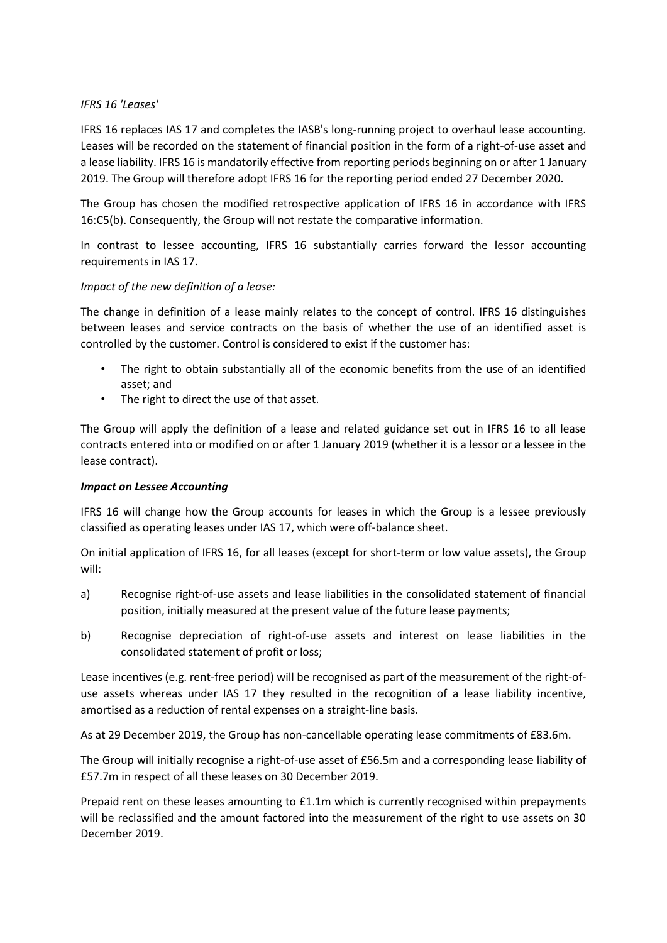# *IFRS 16 'Leases'*

IFRS 16 replaces IAS 17 and completes the IASB's long-running project to overhaul lease accounting. Leases will be recorded on the statement of financial position in the form of a right-of-use asset and a lease liability. IFRS 16 is mandatorily effective from reporting periods beginning on or after 1 January 2019. The Group will therefore adopt IFRS 16 for the reporting period ended 27 December 2020.

The Group has chosen the modified retrospective application of IFRS 16 in accordance with IFRS 16:C5(b). Consequently, the Group will not restate the comparative information.

In contrast to lessee accounting, IFRS 16 substantially carries forward the lessor accounting requirements in IAS 17.

# *Impact of the new definition of a lease:*

The change in definition of a lease mainly relates to the concept of control. IFRS 16 distinguishes between leases and service contracts on the basis of whether the use of an identified asset is controlled by the customer. Control is considered to exist if the customer has:

- The right to obtain substantially all of the economic benefits from the use of an identified asset; and
- The right to direct the use of that asset.

The Group will apply the definition of a lease and related guidance set out in IFRS 16 to all lease contracts entered into or modified on or after 1 January 2019 (whether it is a lessor or a lessee in the lease contract).

# *Impact on Lessee Accounting*

IFRS 16 will change how the Group accounts for leases in which the Group is a lessee previously classified as operating leases under IAS 17, which were off-balance sheet.

On initial application of IFRS 16, for all leases (except for short-term or low value assets), the Group will:

- a) Recognise right-of-use assets and lease liabilities in the consolidated statement of financial position, initially measured at the present value of the future lease payments;
- b) Recognise depreciation of right-of-use assets and interest on lease liabilities in the consolidated statement of profit or loss;

Lease incentives (e.g. rent-free period) will be recognised as part of the measurement of the right-ofuse assets whereas under IAS 17 they resulted in the recognition of a lease liability incentive, amortised as a reduction of rental expenses on a straight-line basis.

As at 29 December 2019, the Group has non-cancellable operating lease commitments of £83.6m.

The Group will initially recognise a right-of-use asset of £56.5m and a corresponding lease liability of £57.7m in respect of all these leases on 30 December 2019.

Prepaid rent on these leases amounting to £1.1m which is currently recognised within prepayments will be reclassified and the amount factored into the measurement of the right to use assets on 30 December 2019.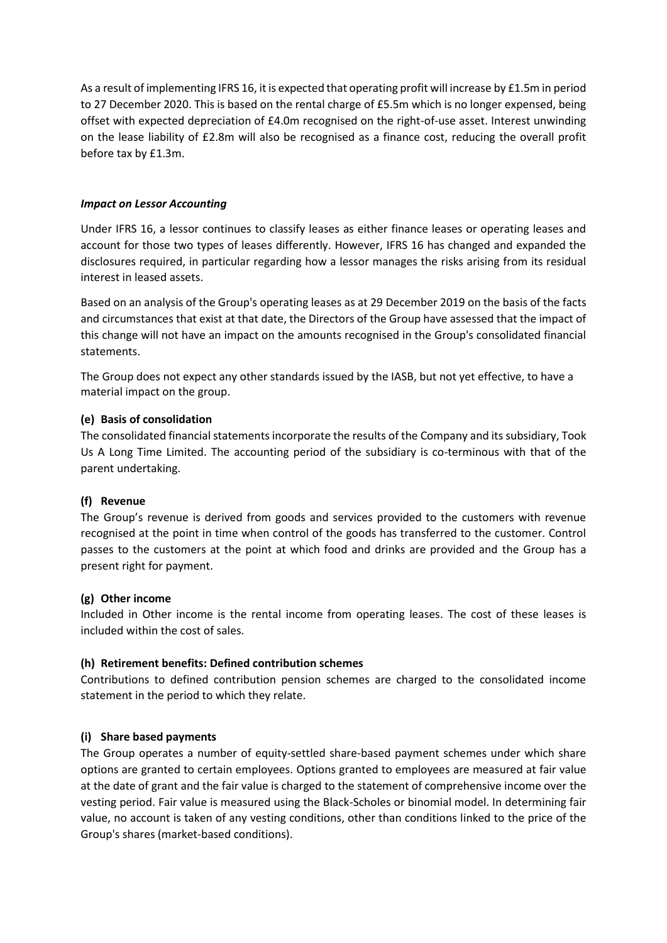As a result of implementing IFRS 16, it is expected that operating profit will increase by £1.5m in period to 27 December 2020. This is based on the rental charge of £5.5m which is no longer expensed, being offset with expected depreciation of £4.0m recognised on the right-of-use asset. Interest unwinding on the lease liability of £2.8m will also be recognised as a finance cost, reducing the overall profit before tax by £1.3m.

# *Impact on Lessor Accounting*

Under IFRS 16, a lessor continues to classify leases as either finance leases or operating leases and account for those two types of leases differently. However, IFRS 16 has changed and expanded the disclosures required, in particular regarding how a lessor manages the risks arising from its residual interest in leased assets.

Based on an analysis of the Group's operating leases as at 29 December 2019 on the basis of the facts and circumstances that exist at that date, the Directors of the Group have assessed that the impact of this change will not have an impact on the amounts recognised in the Group's consolidated financial statements.

The Group does not expect any other standards issued by the IASB, but not yet effective, to have a material impact on the group.

# **(e) Basis of consolidation**

The consolidated financial statements incorporate the results of the Company and its subsidiary, Took Us A Long Time Limited. The accounting period of the subsidiary is co-terminous with that of the parent undertaking.

# **(f) Revenue**

The Group's revenue is derived from goods and services provided to the customers with revenue recognised at the point in time when control of the goods has transferred to the customer. Control passes to the customers at the point at which food and drinks are provided and the Group has a present right for payment.

# **(g) Other income**

Included in Other income is the rental income from operating leases. The cost of these leases is included within the cost of sales.

# **(h) Retirement benefits: Defined contribution schemes**

Contributions to defined contribution pension schemes are charged to the consolidated income statement in the period to which they relate.

# **(i) Share based payments**

The Group operates a number of equity-settled share-based payment schemes under which share options are granted to certain employees. Options granted to employees are measured at fair value at the date of grant and the fair value is charged to the statement of comprehensive income over the vesting period. Fair value is measured using the Black-Scholes or binomial model. In determining fair value, no account is taken of any vesting conditions, other than conditions linked to the price of the Group's shares (market-based conditions).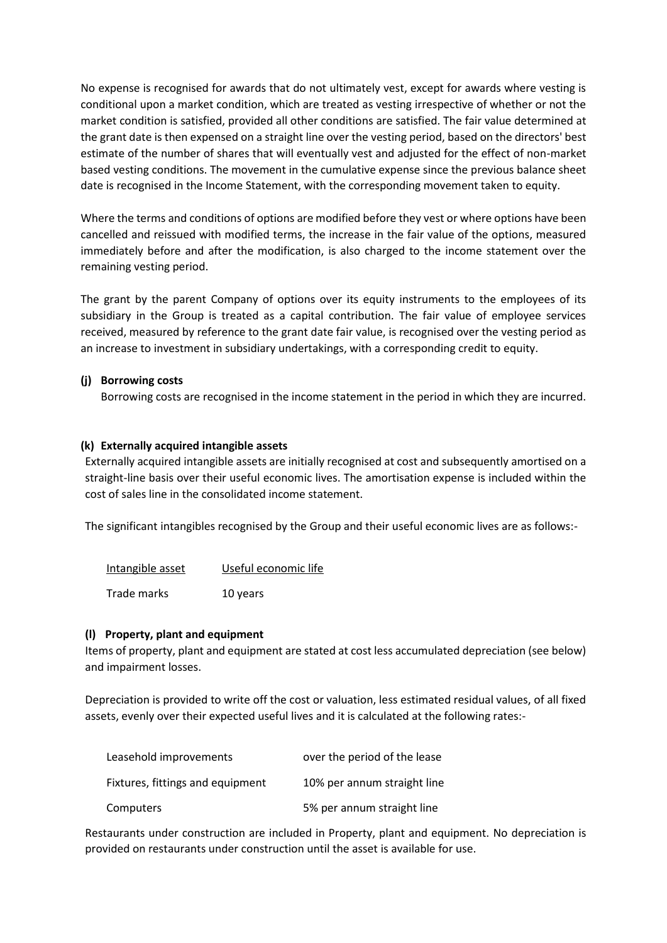No expense is recognised for awards that do not ultimately vest, except for awards where vesting is conditional upon a market condition, which are treated as vesting irrespective of whether or not the market condition is satisfied, provided all other conditions are satisfied. The fair value determined at the grant date is then expensed on a straight line over the vesting period, based on the directors' best estimate of the number of shares that will eventually vest and adjusted for the effect of non-market based vesting conditions. The movement in the cumulative expense since the previous balance sheet date is recognised in the Income Statement, with the corresponding movement taken to equity.

Where the terms and conditions of options are modified before they vest or where options have been cancelled and reissued with modified terms, the increase in the fair value of the options, measured immediately before and after the modification, is also charged to the income statement over the remaining vesting period.

The grant by the parent Company of options over its equity instruments to the employees of its subsidiary in the Group is treated as a capital contribution. The fair value of employee services received, measured by reference to the grant date fair value, is recognised over the vesting period as an increase to investment in subsidiary undertakings, with a corresponding credit to equity.

# **(j) Borrowing costs**

Borrowing costs are recognised in the income statement in the period in which they are incurred.

# **(k) Externally acquired intangible assets**

Externally acquired intangible assets are initially recognised at cost and subsequently amortised on a straight-line basis over their useful economic lives. The amortisation expense is included within the cost of sales line in the consolidated income statement.

The significant intangibles recognised by the Group and their useful economic lives are as follows:-

| Intangible asset | Useful economic life |
|------------------|----------------------|
| Trade marks      | 10 years             |

# **(l) Property, plant and equipment**

Items of property, plant and equipment are stated at cost less accumulated depreciation (see below) and impairment losses.

Depreciation is provided to write off the cost or valuation, less estimated residual values, of all fixed assets, evenly over their expected useful lives and it is calculated at the following rates:-

| Leasehold improvements           | over the period of the lease |
|----------------------------------|------------------------------|
| Fixtures, fittings and equipment | 10% per annum straight line  |
| Computers                        | 5% per annum straight line   |

Restaurants under construction are included in Property, plant and equipment. No depreciation is provided on restaurants under construction until the asset is available for use.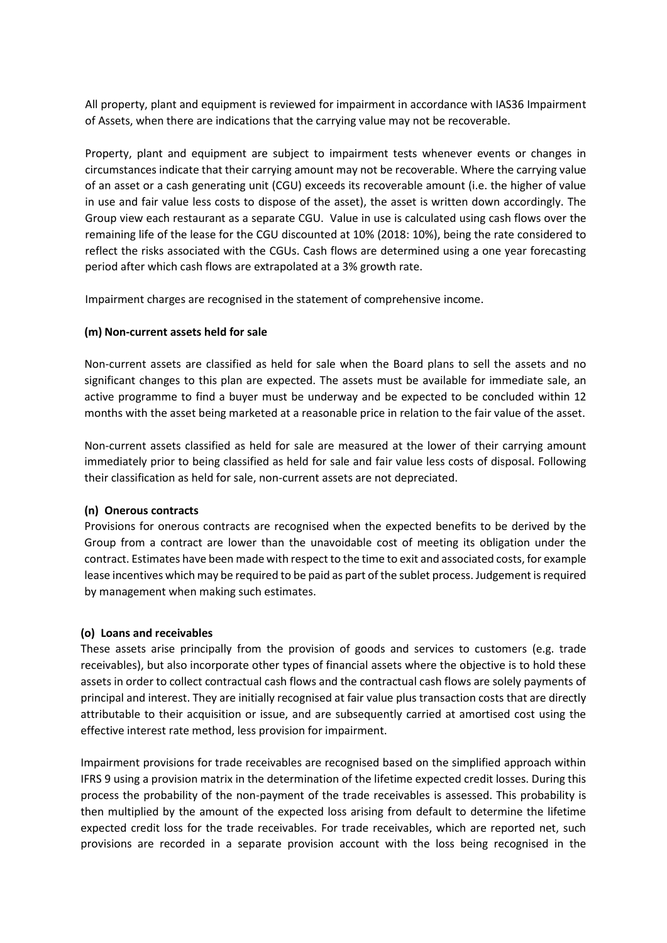All property, plant and equipment is reviewed for impairment in accordance with IAS36 Impairment of Assets, when there are indications that the carrying value may not be recoverable.

Property, plant and equipment are subject to impairment tests whenever events or changes in circumstances indicate that their carrying amount may not be recoverable. Where the carrying value of an asset or a cash generating unit (CGU) exceeds its recoverable amount (i.e. the higher of value in use and fair value less costs to dispose of the asset), the asset is written down accordingly. The Group view each restaurant as a separate CGU. Value in use is calculated using cash flows over the remaining life of the lease for the CGU discounted at 10% (2018: 10%), being the rate considered to reflect the risks associated with the CGUs. Cash flows are determined using a one year forecasting period after which cash flows are extrapolated at a 3% growth rate.

Impairment charges are recognised in the statement of comprehensive income.

# **(m) Non-current assets held for sale**

Non-current assets are classified as held for sale when the Board plans to sell the assets and no significant changes to this plan are expected. The assets must be available for immediate sale, an active programme to find a buyer must be underway and be expected to be concluded within 12 months with the asset being marketed at a reasonable price in relation to the fair value of the asset.

Non-current assets classified as held for sale are measured at the lower of their carrying amount immediately prior to being classified as held for sale and fair value less costs of disposal. Following their classification as held for sale, non-current assets are not depreciated.

# **(n) Onerous contracts**

Provisions for onerous contracts are recognised when the expected benefits to be derived by the Group from a contract are lower than the unavoidable cost of meeting its obligation under the contract. Estimates have been made with respect to the time to exit and associated costs, for example lease incentives which may be required to be paid as part of the sublet process. Judgement is required by management when making such estimates.

# **(o) Loans and receivables**

These assets arise principally from the provision of goods and services to customers (e.g. trade receivables), but also incorporate other types of financial assets where the objective is to hold these assets in order to collect contractual cash flows and the contractual cash flows are solely payments of principal and interest. They are initially recognised at fair value plus transaction costs that are directly attributable to their acquisition or issue, and are subsequently carried at amortised cost using the effective interest rate method, less provision for impairment.

Impairment provisions for trade receivables are recognised based on the simplified approach within IFRS 9 using a provision matrix in the determination of the lifetime expected credit losses. During this process the probability of the non-payment of the trade receivables is assessed. This probability is then multiplied by the amount of the expected loss arising from default to determine the lifetime expected credit loss for the trade receivables. For trade receivables, which are reported net, such provisions are recorded in a separate provision account with the loss being recognised in the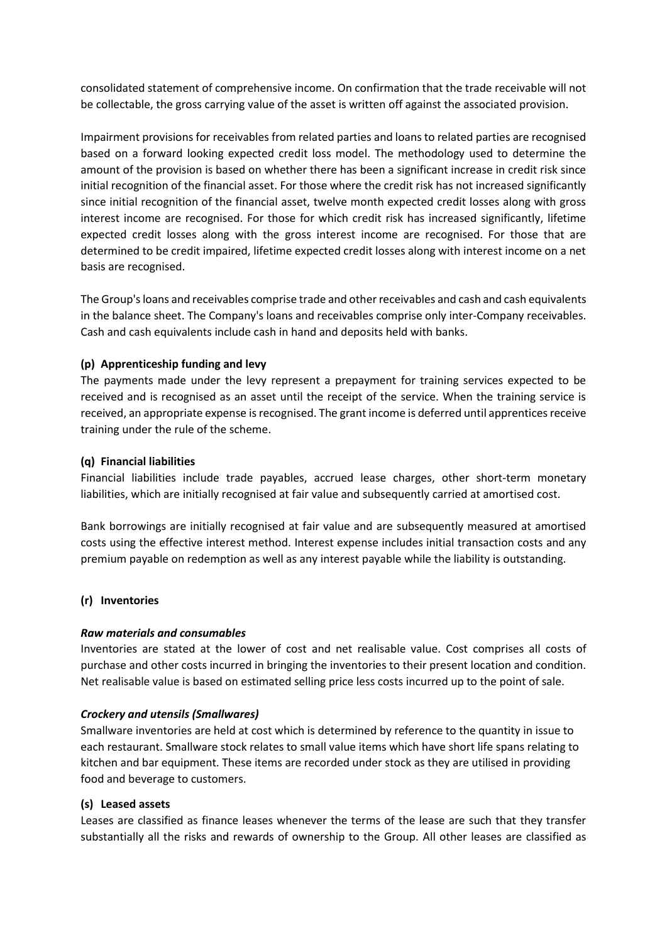consolidated statement of comprehensive income. On confirmation that the trade receivable will not be collectable, the gross carrying value of the asset is written off against the associated provision.

Impairment provisions for receivables from related parties and loans to related parties are recognised based on a forward looking expected credit loss model. The methodology used to determine the amount of the provision is based on whether there has been a significant increase in credit risk since initial recognition of the financial asset. For those where the credit risk has not increased significantly since initial recognition of the financial asset, twelve month expected credit losses along with gross interest income are recognised. For those for which credit risk has increased significantly, lifetime expected credit losses along with the gross interest income are recognised. For those that are determined to be credit impaired, lifetime expected credit losses along with interest income on a net basis are recognised.

The Group's loans and receivables comprise trade and other receivables and cash and cash equivalents in the balance sheet. The Company's loans and receivables comprise only inter-Company receivables. Cash and cash equivalents include cash in hand and deposits held with banks.

# **(p) Apprenticeship funding and levy**

The payments made under the levy represent a prepayment for training services expected to be received and is recognised as an asset until the receipt of the service. When the training service is received, an appropriate expense is recognised. The grant income is deferred until apprentices receive training under the rule of the scheme.

# **(q) Financial liabilities**

Financial liabilities include trade payables, accrued lease charges, other short-term monetary liabilities, which are initially recognised at fair value and subsequently carried at amortised cost.

Bank borrowings are initially recognised at fair value and are subsequently measured at amortised costs using the effective interest method. Interest expense includes initial transaction costs and any premium payable on redemption as well as any interest payable while the liability is outstanding.

# **(r) Inventories**

# *Raw materials and consumables*

Inventories are stated at the lower of cost and net realisable value. Cost comprises all costs of purchase and other costs incurred in bringing the inventories to their present location and condition. Net realisable value is based on estimated selling price less costs incurred up to the point of sale.

# *Crockery and utensils (Smallwares)*

Smallware inventories are held at cost which is determined by reference to the quantity in issue to each restaurant. Smallware stock relates to small value items which have short life spans relating to kitchen and bar equipment. These items are recorded under stock as they are utilised in providing food and beverage to customers.

# **(s) Leased assets**

Leases are classified as finance leases whenever the terms of the lease are such that they transfer substantially all the risks and rewards of ownership to the Group. All other leases are classified as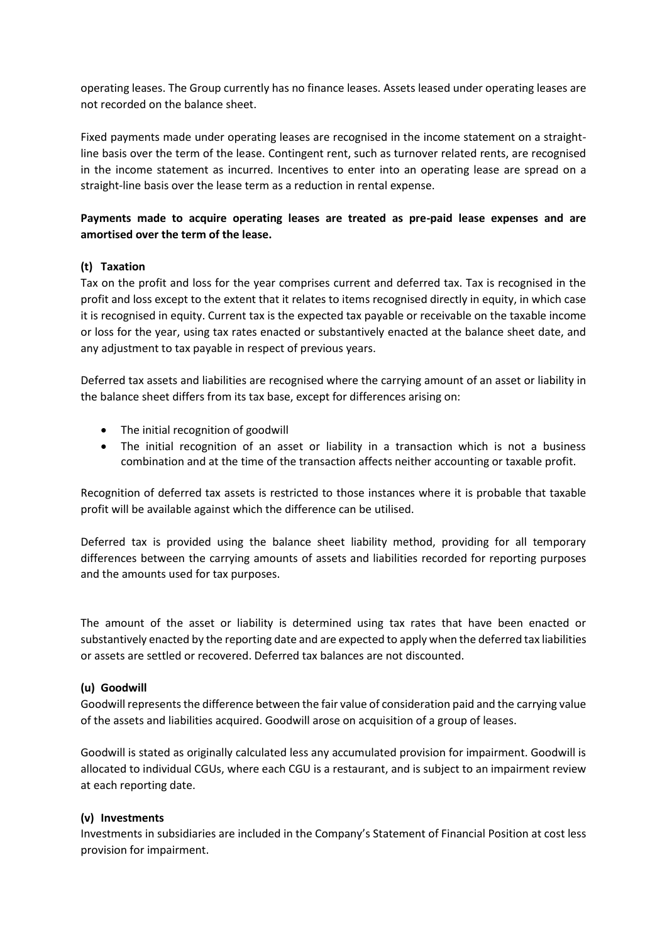operating leases. The Group currently has no finance leases. Assets leased under operating leases are not recorded on the balance sheet.

Fixed payments made under operating leases are recognised in the income statement on a straightline basis over the term of the lease. Contingent rent, such as turnover related rents, are recognised in the income statement as incurred. Incentives to enter into an operating lease are spread on a straight-line basis over the lease term as a reduction in rental expense.

# **Payments made to acquire operating leases are treated as pre-paid lease expenses and are amortised over the term of the lease.**

# **(t) Taxation**

Tax on the profit and loss for the year comprises current and deferred tax. Tax is recognised in the profit and loss except to the extent that it relates to items recognised directly in equity, in which case it is recognised in equity. Current tax is the expected tax payable or receivable on the taxable income or loss for the year, using tax rates enacted or substantively enacted at the balance sheet date, and any adjustment to tax payable in respect of previous years.

Deferred tax assets and liabilities are recognised where the carrying amount of an asset or liability in the balance sheet differs from its tax base, except for differences arising on:

- The initial recognition of goodwill
- The initial recognition of an asset or liability in a transaction which is not a business combination and at the time of the transaction affects neither accounting or taxable profit.

Recognition of deferred tax assets is restricted to those instances where it is probable that taxable profit will be available against which the difference can be utilised.

Deferred tax is provided using the balance sheet liability method, providing for all temporary differences between the carrying amounts of assets and liabilities recorded for reporting purposes and the amounts used for tax purposes.

The amount of the asset or liability is determined using tax rates that have been enacted or substantively enacted by the reporting date and are expected to apply when the deferred tax liabilities or assets are settled or recovered. Deferred tax balances are not discounted.

# **(u) Goodwill**

Goodwill represents the difference between the fair value of consideration paid and the carrying value of the assets and liabilities acquired. Goodwill arose on acquisition of a group of leases.

Goodwill is stated as originally calculated less any accumulated provision for impairment. Goodwill is allocated to individual CGUs, where each CGU is a restaurant, and is subject to an impairment review at each reporting date.

# **(v) Investments**

Investments in subsidiaries are included in the Company's Statement of Financial Position at cost less provision for impairment.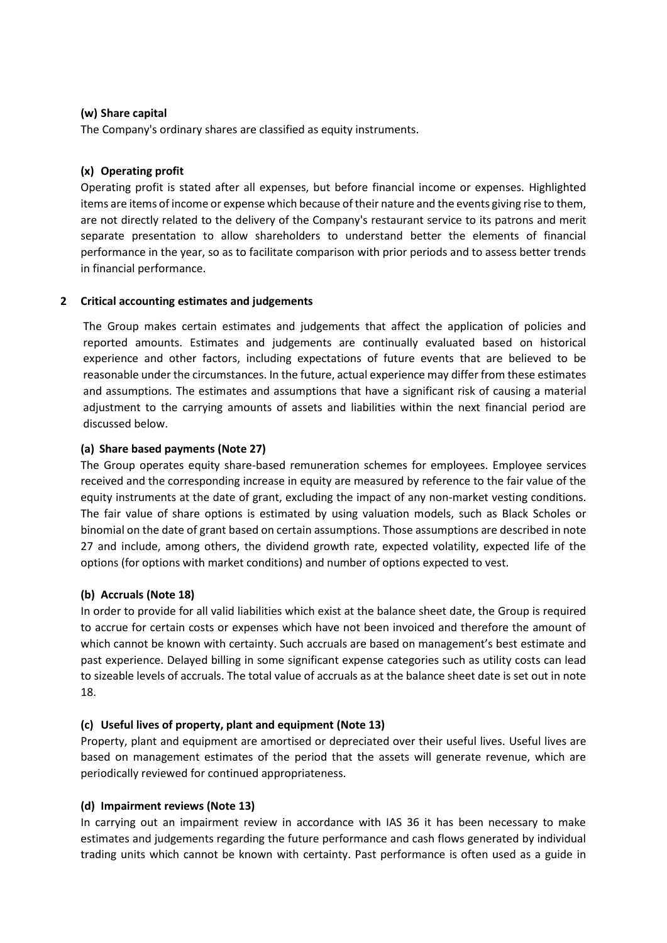# **(w) Share capital**

The Company's ordinary shares are classified as equity instruments.

# **(x) Operating profit**

Operating profit is stated after all expenses, but before financial income or expenses. Highlighted items are items of income or expense which because of their nature and the events giving rise to them, are not directly related to the delivery of the Company's restaurant service to its patrons and merit separate presentation to allow shareholders to understand better the elements of financial performance in the year, so as to facilitate comparison with prior periods and to assess better trends in financial performance.

# **2 Critical accounting estimates and judgements**

The Group makes certain estimates and judgements that affect the application of policies and reported amounts. Estimates and judgements are continually evaluated based on historical experience and other factors, including expectations of future events that are believed to be reasonable under the circumstances. In the future, actual experience may differ from these estimates and assumptions. The estimates and assumptions that have a significant risk of causing a material adjustment to the carrying amounts of assets and liabilities within the next financial period are discussed below.

# **(a) Share based payments (Note 27)**

The Group operates equity share-based remuneration schemes for employees. Employee services received and the corresponding increase in equity are measured by reference to the fair value of the equity instruments at the date of grant, excluding the impact of any non-market vesting conditions. The fair value of share options is estimated by using valuation models, such as Black Scholes or binomial on the date of grant based on certain assumptions. Those assumptions are described in note 27 and include, among others, the dividend growth rate, expected volatility, expected life of the options (for options with market conditions) and number of options expected to vest.

# **(b) Accruals (Note 18)**

In order to provide for all valid liabilities which exist at the balance sheet date, the Group is required to accrue for certain costs or expenses which have not been invoiced and therefore the amount of which cannot be known with certainty. Such accruals are based on management's best estimate and past experience. Delayed billing in some significant expense categories such as utility costs can lead to sizeable levels of accruals. The total value of accruals as at the balance sheet date is set out in note 18.

# **(c) Useful lives of property, plant and equipment (Note 13)**

Property, plant and equipment are amortised or depreciated over their useful lives. Useful lives are based on management estimates of the period that the assets will generate revenue, which are periodically reviewed for continued appropriateness.

# **(d) Impairment reviews (Note 13)**

In carrying out an impairment review in accordance with IAS 36 it has been necessary to make estimates and judgements regarding the future performance and cash flows generated by individual trading units which cannot be known with certainty. Past performance is often used as a guide in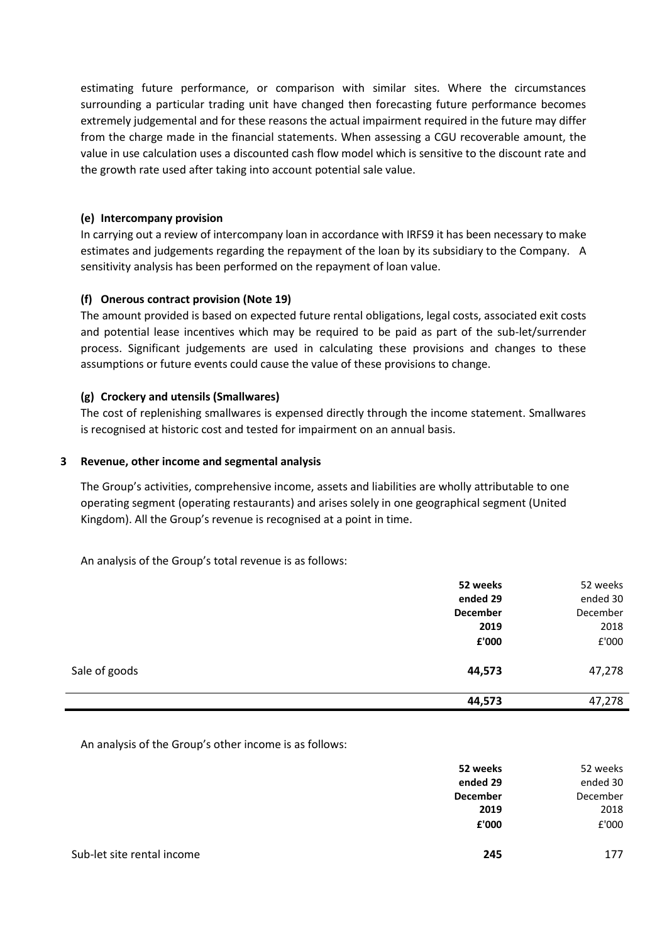estimating future performance, or comparison with similar sites. Where the circumstances surrounding a particular trading unit have changed then forecasting future performance becomes extremely judgemental and for these reasons the actual impairment required in the future may differ from the charge made in the financial statements. When assessing a CGU recoverable amount, the value in use calculation uses a discounted cash flow model which is sensitive to the discount rate and the growth rate used after taking into account potential sale value.

# **(e) Intercompany provision**

In carrying out a review of intercompany loan in accordance with IRFS9 it has been necessary to make estimates and judgements regarding the repayment of the loan by its subsidiary to the Company. A sensitivity analysis has been performed on the repayment of loan value.

# **(f) Onerous contract provision (Note 19)**

The amount provided is based on expected future rental obligations, legal costs, associated exit costs and potential lease incentives which may be required to be paid as part of the sub-let/surrender process. Significant judgements are used in calculating these provisions and changes to these assumptions or future events could cause the value of these provisions to change.

# **(g) Crockery and utensils (Smallwares)**

The cost of replenishing smallwares is expensed directly through the income statement. Smallwares is recognised at historic cost and tested for impairment on an annual basis.

# **3 Revenue, other income and segmental analysis**

The Group's activities, comprehensive income, assets and liabilities are wholly attributable to one operating segment (operating restaurants) and arises solely in one geographical segment (United Kingdom). All the Group's revenue is recognised at a point in time.

An analysis of the Group's total revenue is as follows:

|               | 52 weeks<br>ended 29 | 52 weeks<br>ended 30 |
|---------------|----------------------|----------------------|
|               | <b>December</b>      | December             |
|               | 2019                 | 2018                 |
|               | £'000                | ${\tt f}'000$        |
| Sale of goods | 44,573               | 47,278               |
|               | 44,573               | 47,278               |

An analysis of the Group's other income is as follows:

|                            | 52 weeks<br>ended 29 | 52 weeks<br>ended 30 |
|----------------------------|----------------------|----------------------|
|                            | <b>December</b>      | December             |
|                            | 2019                 | 2018                 |
|                            | £'000                | £'000                |
| Sub-let site rental income | 245                  | 177                  |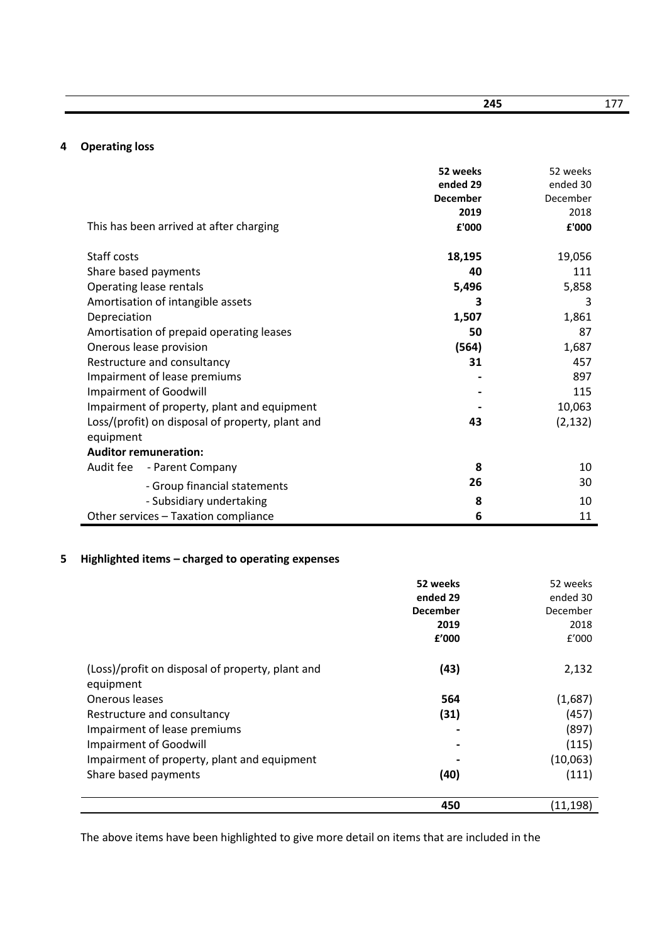| $- - -$<br>--- |
|----------------|
|                |
|                |

**245** 177

# **4 Operating loss**

|                                                  | 52 weeks<br>ended 29 | 52 weeks<br>ended 30 |
|--------------------------------------------------|----------------------|----------------------|
|                                                  | <b>December</b>      | December             |
|                                                  | 2019                 | 2018                 |
| This has been arrived at after charging          | £'000                | £'000                |
| Staff costs                                      | 18,195               | 19,056               |
| Share based payments                             | 40                   | 111                  |
| Operating lease rentals                          | 5,496                | 5,858                |
| Amortisation of intangible assets                | 3                    | 3                    |
| Depreciation                                     | 1,507                | 1,861                |
| Amortisation of prepaid operating leases         | 50                   | 87                   |
| Onerous lease provision                          | (564)                | 1,687                |
| Restructure and consultancy                      | 31                   | 457                  |
| Impairment of lease premiums                     |                      | 897                  |
| <b>Impairment of Goodwill</b>                    |                      | 115                  |
| Impairment of property, plant and equipment      |                      | 10,063               |
| Loss/(profit) on disposal of property, plant and | 43                   | (2, 132)             |
| equipment                                        |                      |                      |
| <b>Auditor remuneration:</b>                     |                      |                      |
| Audit fee<br>- Parent Company                    | 8                    | 10                   |
| - Group financial statements                     | 26                   | 30                   |
| - Subsidiary undertaking                         | 8                    | 10                   |
| Other services - Taxation compliance             | 6                    | 11                   |

# **5 Highlighted items – charged to operating expenses**

|                                                               | 52 weeks        | 52 weeks  |
|---------------------------------------------------------------|-----------------|-----------|
|                                                               | ended 29        | ended 30  |
|                                                               | <b>December</b> | December  |
|                                                               | 2019            | 2018      |
|                                                               | £'000           | E'000     |
| (Loss)/profit on disposal of property, plant and<br>equipment | (43)            | 2,132     |
| Onerous leases                                                | 564             | (1,687)   |
| Restructure and consultancy                                   | (31)            | (457)     |
| Impairment of lease premiums                                  |                 | (897)     |
| <b>Impairment of Goodwill</b>                                 |                 | (115)     |
| Impairment of property, plant and equipment                   |                 | (10,063)  |
| Share based payments                                          | (40)            | (111)     |
|                                                               | 450             | (11, 198) |

The above items have been highlighted to give more detail on items that are included in the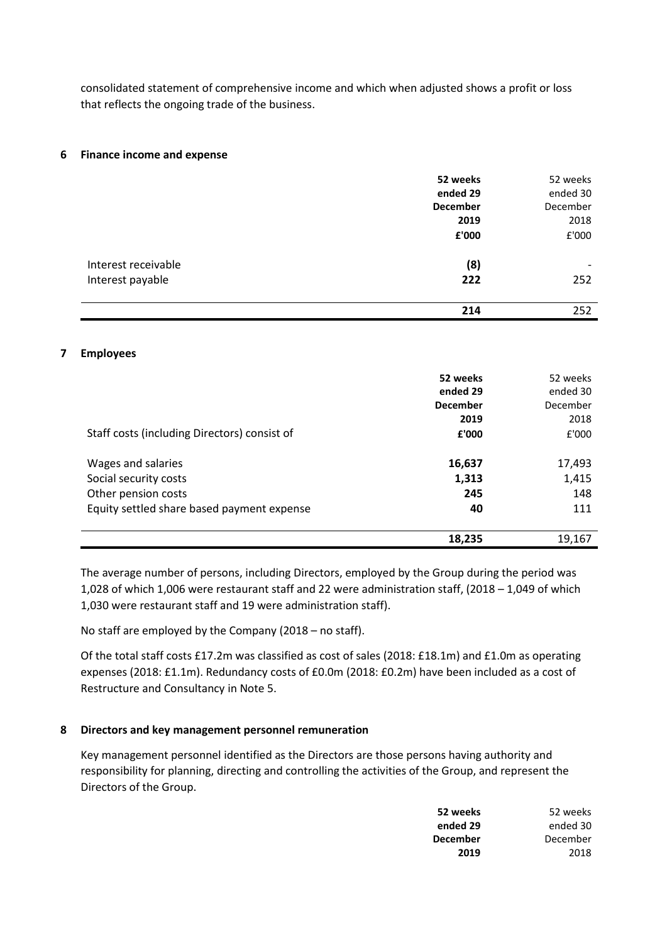consolidated statement of comprehensive income and which when adjusted shows a profit or loss that reflects the ongoing trade of the business.

#### **6 Finance income and expense**

|                     | 52 weeks        | 52 weeks |
|---------------------|-----------------|----------|
|                     | ended 29        | ended 30 |
|                     | <b>December</b> | December |
|                     | 2019            | 2018     |
|                     | £'000           | £'000    |
| Interest receivable | (8)             |          |
| Interest payable    | 222             | 252      |
|                     |                 |          |
|                     | 214             | 252      |

#### **7 Employees**

|                                              | 52 weeks<br>ended 29 | 52 weeks<br>ended 30 |
|----------------------------------------------|----------------------|----------------------|
|                                              | <b>December</b>      | December             |
|                                              | 2019                 | 2018                 |
| Staff costs (including Directors) consist of | £'000                | £'000                |
| Wages and salaries                           | 16,637               | 17,493               |
| Social security costs                        | 1,313                | 1,415                |
| Other pension costs                          | 245                  | 148                  |
| Equity settled share based payment expense   | 40                   | 111                  |
|                                              | 18,235               | 19,167               |

The average number of persons, including Directors, employed by the Group during the period was 1,028 of which 1,006 were restaurant staff and 22 were administration staff, (2018 – 1,049 of which 1,030 were restaurant staff and 19 were administration staff).

No staff are employed by the Company (2018 – no staff).

Of the total staff costs £17.2m was classified as cost of sales (2018: £18.1m) and £1.0m as operating expenses (2018: £1.1m). Redundancy costs of £0.0m (2018: £0.2m) have been included as a cost of Restructure and Consultancy in Note 5.

# **8 Directors and key management personnel remuneration**

Key management personnel identified as the Directors are those persons having authority and responsibility for planning, directing and controlling the activities of the Group, and represent the Directors of the Group.

| 52 weeks        | 52 weeks |
|-----------------|----------|
| ended 29        | ended 30 |
| <b>December</b> | December |
| 2019            | 2018     |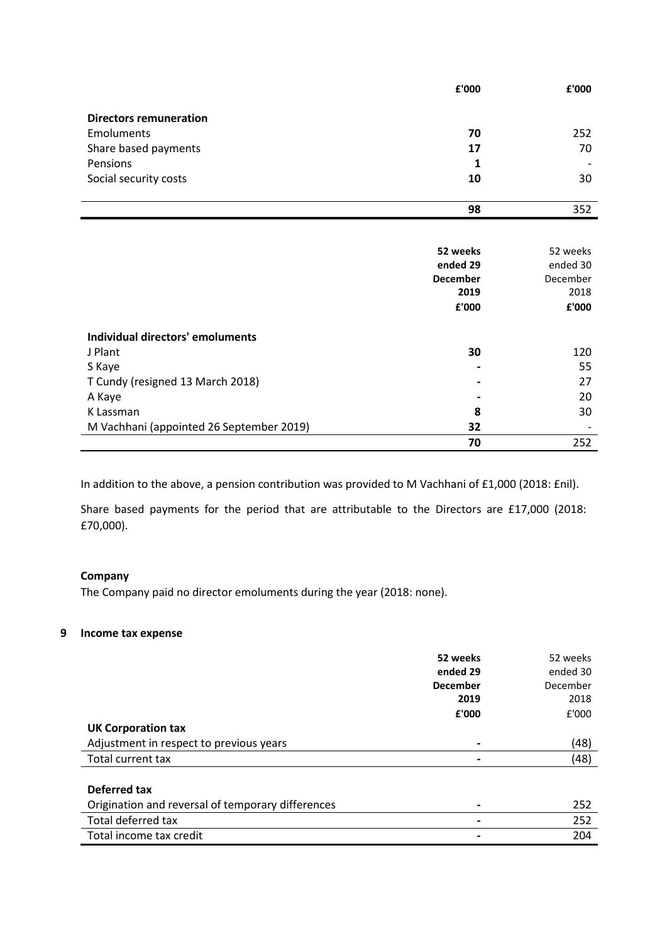|                               | £'000 | £'000 |
|-------------------------------|-------|-------|
| <b>Directors remuneration</b> |       |       |
| Emoluments                    | 70    | 252   |
| Share based payments          | 17    | 70    |
| Pensions                      | 1     |       |
| Social security costs         | 10    | 30    |
|                               |       |       |
|                               | 98    | 352   |
|                               |       |       |

|                                          | 52 weeks        | 52 weeks |
|------------------------------------------|-----------------|----------|
|                                          | ended 29        | ended 30 |
|                                          | <b>December</b> | December |
|                                          | 2019            | 2018     |
|                                          | £'000           | £'000    |
| Individual directors' emoluments         |                 |          |
| J Plant                                  | 30              | 120      |
| S Kaye                                   |                 | 55       |
| T Cundy (resigned 13 March 2018)         |                 | 27       |
| A Kaye                                   |                 | 20       |
| K Lassman                                | 8               | 30       |
| M Vachhani (appointed 26 September 2019) | 32              |          |
|                                          | 70              | 252      |

In addition to the above, a pension contribution was provided to M Vachhani of £1,000 (2018: £nil).

Share based payments for the period that are attributable to the Directors are £17,000 (2018: £70,000).

# **Company**

The Company paid no director emoluments during the year (2018: none).

# **9 Income tax expense**

|                                                   | 52 weeks                                                                                                                                                     | 52 weeks |
|---------------------------------------------------|--------------------------------------------------------------------------------------------------------------------------------------------------------------|----------|
|                                                   | ended 29                                                                                                                                                     | ended 30 |
|                                                   | <b>December</b>                                                                                                                                              | December |
|                                                   | 2019                                                                                                                                                         | 2018     |
|                                                   | £'000                                                                                                                                                        | £'000    |
| <b>UK Corporation tax</b>                         |                                                                                                                                                              |          |
| Adjustment in respect to previous years           | $\blacksquare$                                                                                                                                               | (48)     |
| Total current tax                                 | $\hskip1.6pt\hskip1.6pt\hskip1.6pt\hskip1.6pt\hskip1.6pt\hskip1.6pt\hskip1.6pt\hskip1.6pt\hskip1.6pt\hskip1.6pt\hskip1.6pt\hskip1.6pt\hskip1.6pt\hskip1.6pt$ | (48)     |
|                                                   |                                                                                                                                                              |          |
| Deferred tax                                      |                                                                                                                                                              |          |
| Origination and reversal of temporary differences |                                                                                                                                                              | 252      |
| Total deferred tax                                | $\hskip1.6pt\hskip1.6pt\hskip1.6pt\hskip1.6pt\hskip1.6pt\hskip1.6pt\hskip1.6pt\hskip1.6pt\hskip1.6pt\hskip1.6pt\hskip1.6pt\hskip1.6pt\hskip1.6pt\hskip1.6pt$ | 252      |
| Total income tax credit                           |                                                                                                                                                              | 204      |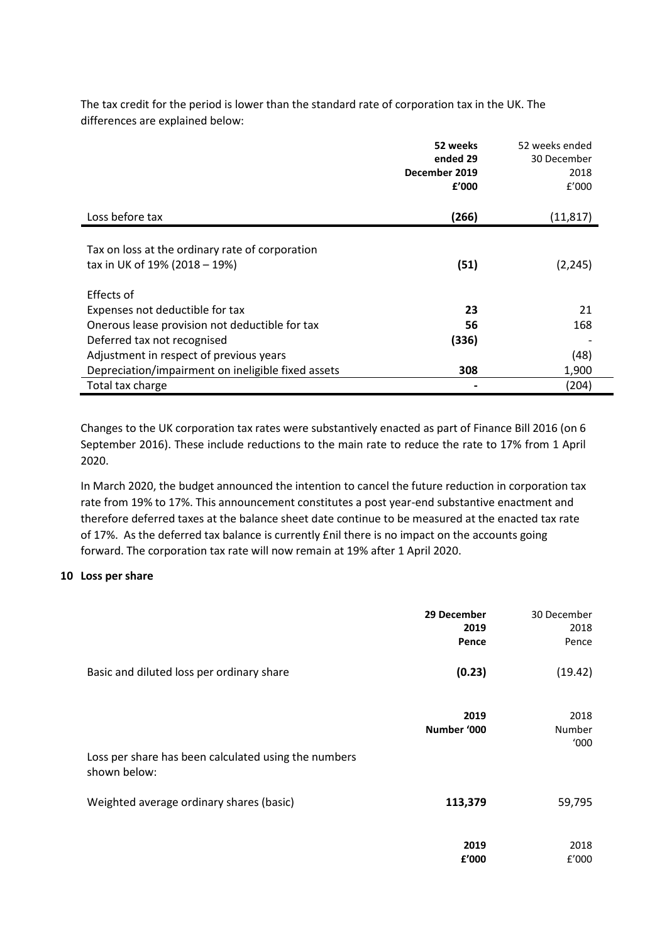The tax credit for the period is lower than the standard rate of corporation tax in the UK. The differences are explained below:

|                                                    | 52 weeks      | 52 weeks ended |
|----------------------------------------------------|---------------|----------------|
|                                                    | ended 29      | 30 December    |
|                                                    | December 2019 | 2018           |
|                                                    | f'000         | f'000          |
| Loss before tax                                    | (266)         | (11, 817)      |
| Tax on loss at the ordinary rate of corporation    |               |                |
| tax in UK of 19% (2018 - 19%)                      | (51)          | (2, 245)       |
| Effects of                                         |               |                |
| Expenses not deductible for tax                    | 23            | 21             |
| Onerous lease provision not deductible for tax     | 56            | 168            |
| Deferred tax not recognised                        | (336)         |                |
| Adjustment in respect of previous years            |               | (48)           |
| Depreciation/impairment on ineligible fixed assets | 308           | 1,900          |
| Total tax charge                                   |               | (204)          |

Changes to the UK corporation tax rates were substantively enacted as part of Finance Bill 2016 (on 6 September 2016). These include reductions to the main rate to reduce the rate to 17% from 1 April 2020.

In March 2020, the budget announced the intention to cancel the future reduction in corporation tax rate from 19% to 17%. This announcement constitutes a post year-end substantive enactment and therefore deferred taxes at the balance sheet date continue to be measured at the enacted tax rate of 17%. As the deferred tax balance is currently £nil there is no impact on the accounts going forward. The corporation tax rate will now remain at 19% after 1 April 2020.

# **10 Loss per share**

| 29 December<br>2019<br>Pence | 30 December<br>2018<br>Pence |
|------------------------------|------------------------------|
| (0.23)                       | (19.42)                      |
| 2019<br>Number '000          | 2018<br>Number<br>'000       |
|                              |                              |
| 113,379                      | 59,795                       |
| 2019                         | 2018<br>f'000                |
|                              | f'000                        |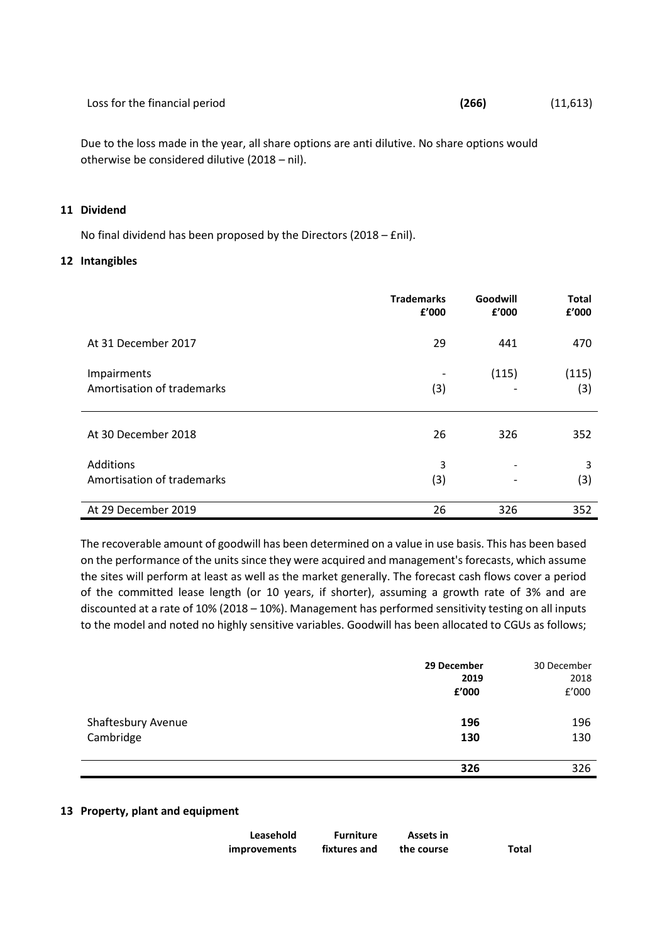Loss for the financial period **(266)** (11,613)

Due to the loss made in the year, all share options are anti dilutive. No share options would otherwise be considered dilutive (2018 – nil).

# **11 Dividend**

No final dividend has been proposed by the Directors (2018 – £nil).

#### **12 Intangibles**

|                                           | <b>Trademarks</b><br>f'000 | Goodwill<br>£'000 | <b>Total</b><br>£'000 |
|-------------------------------------------|----------------------------|-------------------|-----------------------|
| At 31 December 2017                       | 29                         | 441               | 470                   |
| Impairments<br>Amortisation of trademarks | (3)                        | (115)             | (115)<br>(3)          |
| At 30 December 2018                       | 26                         | 326               | 352                   |
| Additions<br>Amortisation of trademarks   | 3<br>(3)                   |                   | 3<br>(3)              |
| At 29 December 2019                       | 26                         | 326               | 352                   |

The recoverable amount of goodwill has been determined on a value in use basis. This has been based on the performance of the units since they were acquired and management's forecasts, which assume the sites will perform at least as well as the market generally. The forecast cash flows cover a period of the committed lease length (or 10 years, if shorter), assuming a growth rate of 3% and are discounted at a rate of 10% (2018 – 10%). Management has performed sensitivity testing on all inputs to the model and noted no highly sensitive variables. Goodwill has been allocated to CGUs as follows;

|                    | 29 December<br>2019 | 30 December<br>2018 |
|--------------------|---------------------|---------------------|
|                    | £'000               | £'000               |
| Shaftesbury Avenue | 196                 | 196                 |
| Cambridge          | 130                 | 130                 |
|                    | 326                 | 326                 |

#### **13 Property, plant and equipment**

| Leasehold    | <b>Furniture</b> | Assets in  |       |
|--------------|------------------|------------|-------|
| improvements | fixtures and     | the course | Total |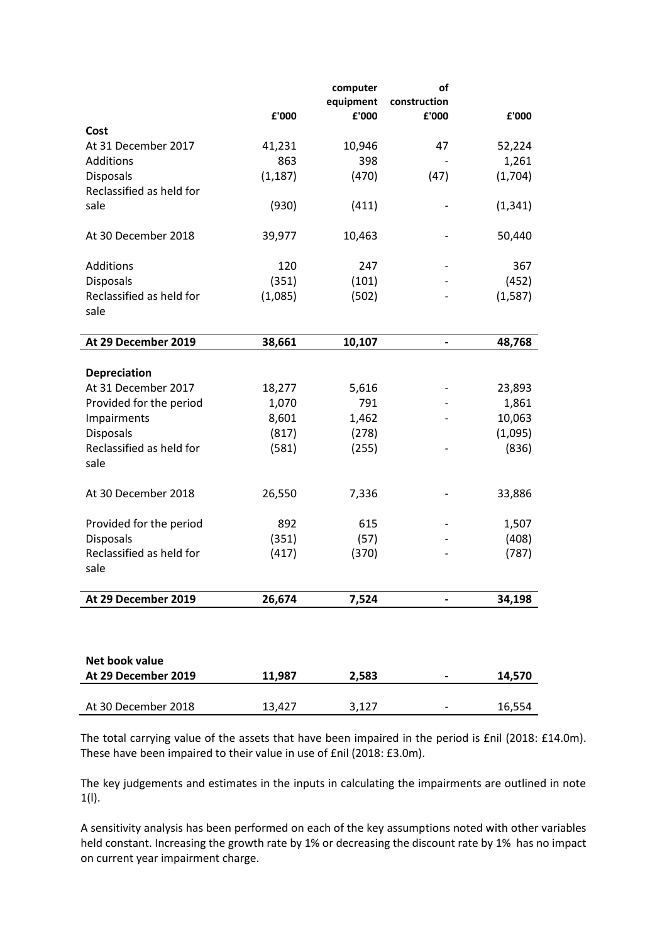|                                       |          | computer<br>equipment | of<br>construction |          |
|---------------------------------------|----------|-----------------------|--------------------|----------|
|                                       | £'000    | £'000                 | £'000              | £'000    |
| Cost                                  |          |                       |                    |          |
| At 31 December 2017                   | 41,231   | 10,946                | 47                 | 52,224   |
| <b>Additions</b>                      | 863      | 398                   |                    | 1,261    |
| Disposals<br>Reclassified as held for | (1, 187) | (470)                 | (47)               | (1,704)  |
| sale                                  |          |                       |                    |          |
|                                       | (930)    | (411)                 |                    | (1, 341) |
| At 30 December 2018                   | 39,977   | 10,463                |                    | 50,440   |
| <b>Additions</b>                      | 120      | 247                   |                    | 367      |
| Disposals                             | (351)    | (101)                 |                    | (452)    |
| Reclassified as held for              | (1,085)  | (502)                 |                    | (1, 587) |
| sale                                  |          |                       |                    |          |
| At 29 December 2019                   | 38,661   | 10,107                |                    | 48,768   |
|                                       |          |                       |                    |          |
| Depreciation                          |          |                       |                    |          |
| At 31 December 2017                   | 18,277   | 5,616                 |                    | 23,893   |
| Provided for the period               | 1,070    | 791                   |                    | 1,861    |
| Impairments                           | 8,601    | 1,462                 |                    | 10,063   |
| Disposals                             | (817)    | (278)                 |                    | (1,095)  |
| Reclassified as held for              | (581)    | (255)                 |                    | (836)    |
| sale                                  |          |                       |                    |          |
| At 30 December 2018                   | 26,550   | 7,336                 |                    | 33,886   |
|                                       |          |                       |                    |          |
| Provided for the period               | 892      | 615                   |                    | 1,507    |
| Disposals                             | (351)    | (57)                  |                    | (408)    |
| Reclassified as held for              | (417)    | (370)                 |                    | (787)    |
| sale                                  |          |                       |                    |          |
| At 29 December 2019                   | 26,674   | 7,524                 |                    | 34,198   |
|                                       |          |                       |                    |          |
| Net book value                        |          |                       |                    |          |
| At 29 December 2019                   | 11,987   | 2,583                 |                    | 14,570   |
|                                       |          |                       |                    |          |
| At 30 December 2018                   | 13,427   | 3,127                 |                    | 16,554   |

The total carrying value of the assets that have been impaired in the period is £nil (2018: £14.0m). These have been impaired to their value in use of £nil (2018: £3.0m).

The key judgements and estimates in the inputs in calculating the impairments are outlined in note  $1($ | $).$ 

A sensitivity analysis has been performed on each of the key assumptions noted with other variables held constant. Increasing the growth rate by 1% or decreasing the discount rate by 1% has no impact on current year impairment charge.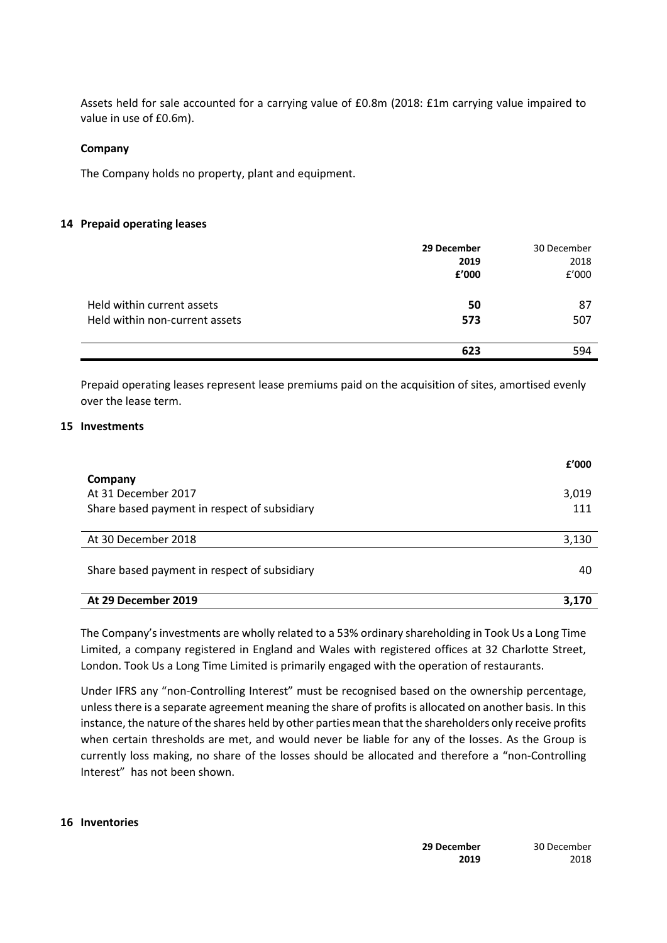Assets held for sale accounted for a carrying value of £0.8m (2018: £1m carrying value impaired to value in use of £0.6m).

# **Company**

The Company holds no property, plant and equipment.

# **14 Prepaid operating leases**

|                                                              | 29 December<br>2019<br>£'000 | 30 December<br>2018<br>£'000 |
|--------------------------------------------------------------|------------------------------|------------------------------|
| Held within current assets<br>Held within non-current assets | 50<br>573                    | 87<br>507                    |
|                                                              | 623                          | 594                          |

Prepaid operating leases represent lease premiums paid on the acquisition of sites, amortised evenly over the lease term.

# **15 Investments**

|                                              | f'000 |
|----------------------------------------------|-------|
| Company                                      |       |
| At 31 December 2017                          | 3,019 |
| Share based payment in respect of subsidiary | 111   |
|                                              |       |
| At 30 December 2018                          | 3,130 |
|                                              |       |
| Share based payment in respect of subsidiary | 40    |
|                                              |       |
| At 29 December 2019                          | 3.170 |

The Company's investments are wholly related to a 53% ordinary shareholding in Took Us a Long Time Limited, a company registered in England and Wales with registered offices at 32 Charlotte Street, London. Took Us a Long Time Limited is primarily engaged with the operation of restaurants.

Under IFRS any "non-Controlling Interest" must be recognised based on the ownership percentage, unless there is a separate agreement meaning the share of profits is allocated on another basis. In this instance, the nature of the shares held by other parties mean that the shareholders only receive profits when certain thresholds are met, and would never be liable for any of the losses. As the Group is currently loss making, no share of the losses should be allocated and therefore a "non-Controlling Interest" has not been shown.

#### **16 Inventories**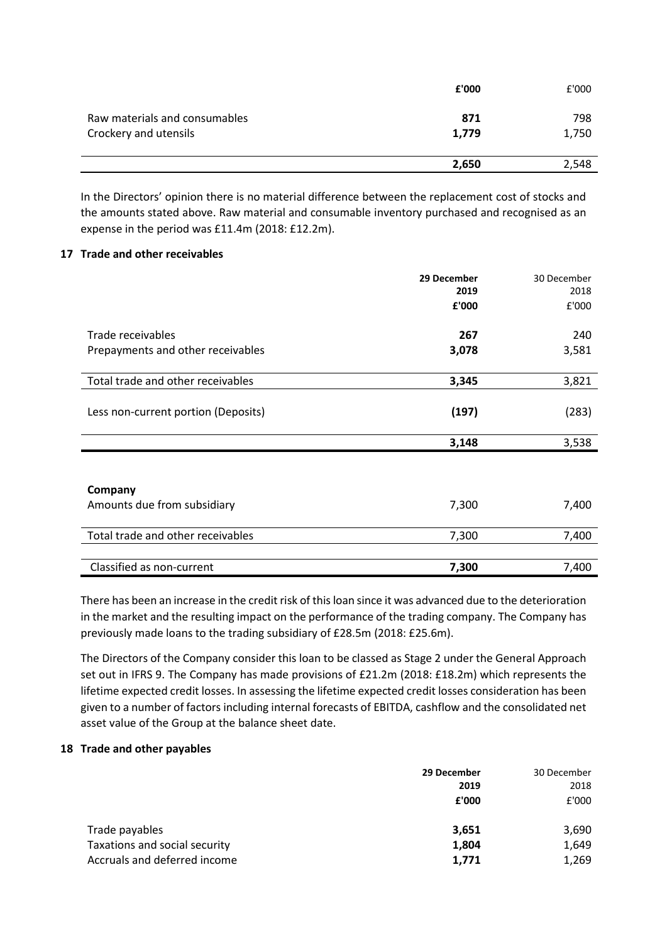|                                                        | £'000        | E'000        |
|--------------------------------------------------------|--------------|--------------|
| Raw materials and consumables<br>Crockery and utensils | 871<br>1,779 | 798<br>1,750 |
|                                                        | 2,650        | 2,548        |

In the Directors' opinion there is no material difference between the replacement cost of stocks and the amounts stated above. Raw material and consumable inventory purchased and recognised as an expense in the period was £11.4m (2018: £12.2m).

# **17 Trade and other receivables**

|                                        | 29 December | 30 December |
|----------------------------------------|-------------|-------------|
|                                        | 2019        | 2018        |
|                                        | £'000       | £'000       |
| Trade receivables                      | 267         | 240         |
| Prepayments and other receivables      | 3,078       | 3,581       |
| Total trade and other receivables      | 3,345       | 3,821       |
| Less non-current portion (Deposits)    | (197)       | (283)       |
|                                        | 3,148       | 3,538       |
|                                        |             |             |
| Company<br>Amounts due from subsidiary | 7,300       | 7,400       |
| Total trade and other receivables      | 7,300       | 7,400       |
| Classified as non-current              | 7,300       | 7,400       |

There has been an increase in the credit risk of this loan since it was advanced due to the deterioration in the market and the resulting impact on the performance of the trading company. The Company has previously made loans to the trading subsidiary of £28.5m (2018: £25.6m).

The Directors of the Company consider this loan to be classed as Stage 2 under the General Approach set out in IFRS 9. The Company has made provisions of £21.2m (2018: £18.2m) which represents the lifetime expected credit losses. In assessing the lifetime expected credit losses consideration has been given to a number of factors including internal forecasts of EBITDA, cashflow and the consolidated net asset value of the Group at the balance sheet date.

# **18 Trade and other payables**

|                               | 29 December | 30 December |
|-------------------------------|-------------|-------------|
|                               | 2019        | 2018        |
|                               | £'000       | £'000       |
| Trade payables                | 3,651       | 3,690       |
| Taxations and social security | 1,804       | 1,649       |
| Accruals and deferred income  | 1,771       | 1,269       |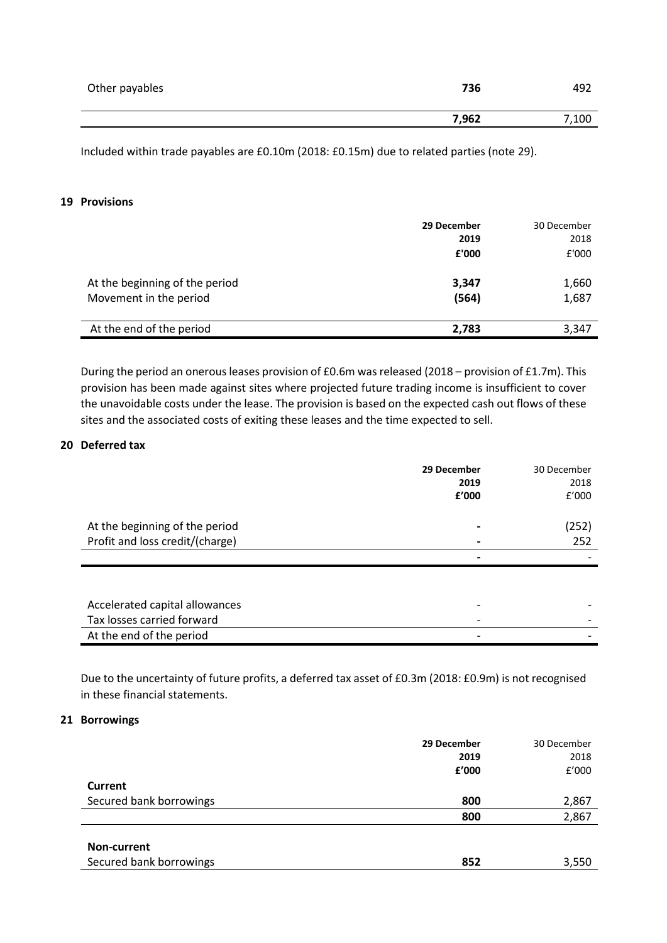| Other payables | 736   | 492   |
|----------------|-------|-------|
|                | 7,962 | 7,100 |

Included within trade payables are £0.10m (2018: £0.15m) due to related parties (note 29).

### **19 Provisions**

|                                                          | 29 December<br>2019 | 30 December<br>2018 |
|----------------------------------------------------------|---------------------|---------------------|
|                                                          | £'000               | £'000               |
| At the beginning of the period<br>Movement in the period | 3,347<br>(564)      | 1,660<br>1,687      |
| At the end of the period                                 | 2,783               | 3,347               |

During the period an onerous leases provision of £0.6m was released (2018 – provision of £1.7m). This provision has been made against sites where projected future trading income is insufficient to cover the unavoidable costs under the lease. The provision is based on the expected cash out flows of these sites and the associated costs of exiting these leases and the time expected to sell.

# **20 Deferred tax**

|                                 | 29 December<br>2019<br>£'000 | 30 December<br>2018<br>f'000 |
|---------------------------------|------------------------------|------------------------------|
| At the beginning of the period  |                              | (252)                        |
| Profit and loss credit/(charge) |                              | 252                          |
|                                 |                              |                              |
|                                 |                              |                              |
| Accelerated capital allowances  |                              |                              |
| Tax losses carried forward      |                              |                              |
| At the end of the period        |                              |                              |

Due to the uncertainty of future profits, a deferred tax asset of £0.3m (2018: £0.9m) is not recognised in these financial statements.

# **21 Borrowings**

|                         | 29 December<br>2019 | 30 December<br>2018 |
|-------------------------|---------------------|---------------------|
|                         | £'000               | E'000               |
| <b>Current</b>          |                     |                     |
| Secured bank borrowings | 800                 | 2,867               |
|                         | 800                 | 2,867               |
|                         |                     |                     |
| Non-current             |                     |                     |
| Secured bank borrowings | 852                 | 3,550               |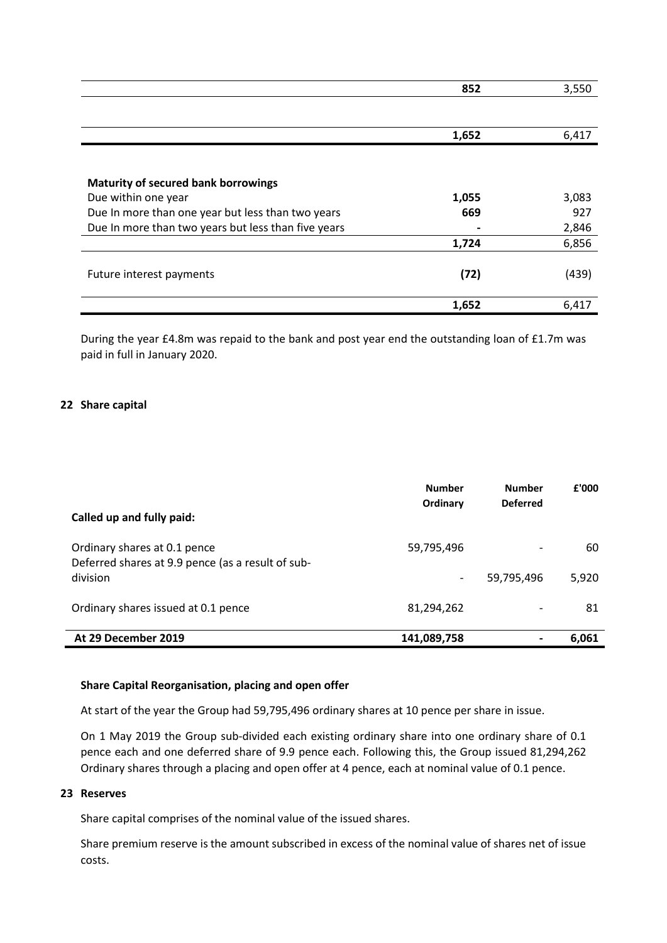|                                                     | 852   | 3,550 |
|-----------------------------------------------------|-------|-------|
|                                                     |       |       |
|                                                     |       |       |
|                                                     | 1,652 | 6,417 |
|                                                     |       |       |
| <b>Maturity of secured bank borrowings</b>          |       |       |
| Due within one year                                 | 1,055 | 3,083 |
| Due In more than one year but less than two years   | 669   | 927   |
| Due In more than two years but less than five years |       | 2,846 |
|                                                     | 1,724 | 6,856 |
|                                                     |       |       |
| Future interest payments                            | (72)  | (439) |
|                                                     | 1,652 | 6,417 |

During the year £4.8m was repaid to the bank and post year end the outstanding loan of £1.7m was paid in full in January 2020.

# **22 Share capital**

| Called up and fully paid:                                                         | <b>Number</b><br>Ordinary | <b>Number</b><br><b>Deferred</b> | £'000 |
|-----------------------------------------------------------------------------------|---------------------------|----------------------------------|-------|
| Ordinary shares at 0.1 pence<br>Deferred shares at 9.9 pence (as a result of sub- | 59,795,496                |                                  | 60    |
| division                                                                          | ۰                         | 59,795,496                       | 5,920 |
| Ordinary shares issued at 0.1 pence                                               | 81,294,262                | $\overline{\phantom{0}}$         | 81    |
| At 29 December 2019                                                               | 141,089,758               |                                  | 6,061 |

# **Share Capital Reorganisation, placing and open offer**

At start of the year the Group had 59,795,496 ordinary shares at 10 pence per share in issue.

On 1 May 2019 the Group sub-divided each existing ordinary share into one ordinary share of 0.1 pence each and one deferred share of 9.9 pence each. Following this, the Group issued 81,294,262 Ordinary shares through a placing and open offer at 4 pence, each at nominal value of 0.1 pence.

### **23 Reserves**

Share capital comprises of the nominal value of the issued shares.

Share premium reserve is the amount subscribed in excess of the nominal value of shares net of issue costs.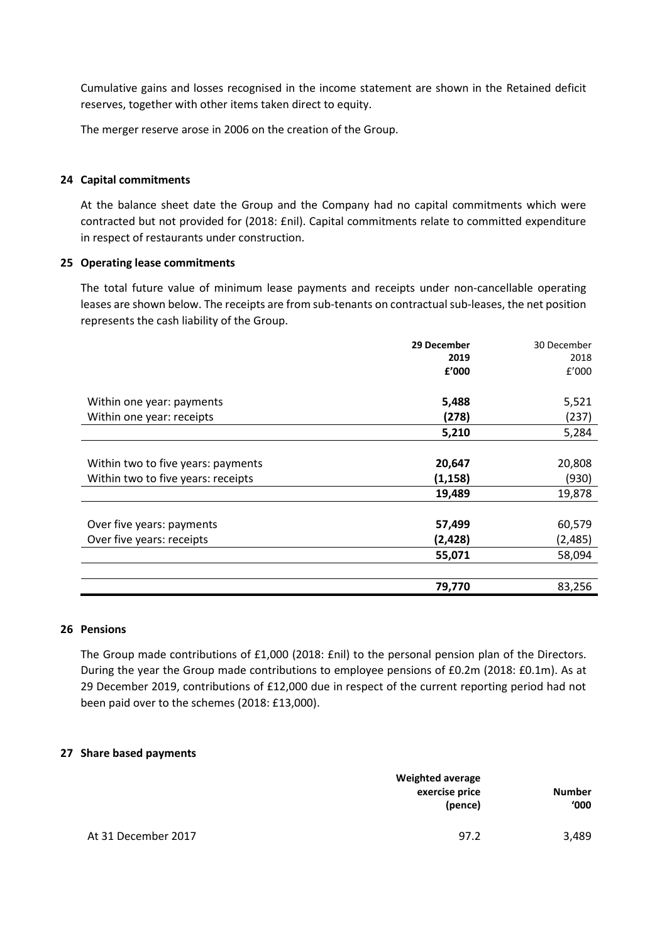Cumulative gains and losses recognised in the income statement are shown in the Retained deficit reserves, together with other items taken direct to equity.

The merger reserve arose in 2006 on the creation of the Group.

### **24 Capital commitments**

At the balance sheet date the Group and the Company had no capital commitments which were contracted but not provided for (2018: £nil). Capital commitments relate to committed expenditure in respect of restaurants under construction.

#### **25 Operating lease commitments**

The total future value of minimum lease payments and receipts under non-cancellable operating leases are shown below. The receipts are from sub-tenants on contractual sub-leases, the net position represents the cash liability of the Group.

|                                    | 29 December | 30 December |
|------------------------------------|-------------|-------------|
|                                    | 2019        | 2018        |
|                                    | £'000       | f'000       |
|                                    |             |             |
| Within one year: payments          | 5,488       | 5,521       |
| Within one year: receipts          | (278)       | (237)       |
|                                    | 5,210       | 5,284       |
|                                    |             |             |
| Within two to five years: payments | 20,647      | 20,808      |
| Within two to five years: receipts | (1, 158)    | (930)       |
|                                    | 19,489      | 19,878      |
|                                    |             |             |
| Over five years: payments          | 57,499      | 60,579      |
| Over five years: receipts          | (2, 428)    | (2,485)     |
|                                    | 55,071      | 58,094      |
|                                    |             |             |
|                                    | 79,770      | 83,256      |

#### **26 Pensions**

The Group made contributions of £1,000 (2018: £nil) to the personal pension plan of the Directors. During the year the Group made contributions to employee pensions of £0.2m (2018: £0.1m). As at 29 December 2019, contributions of £12,000 due in respect of the current reporting period had not been paid over to the schemes (2018: £13,000).

#### **27 Share based payments**

|                     | <b>Weighted average</b><br>exercise price<br>(pence) | <b>Number</b><br>'000 |
|---------------------|------------------------------------------------------|-----------------------|
| At 31 December 2017 | 97.2                                                 | 3,489                 |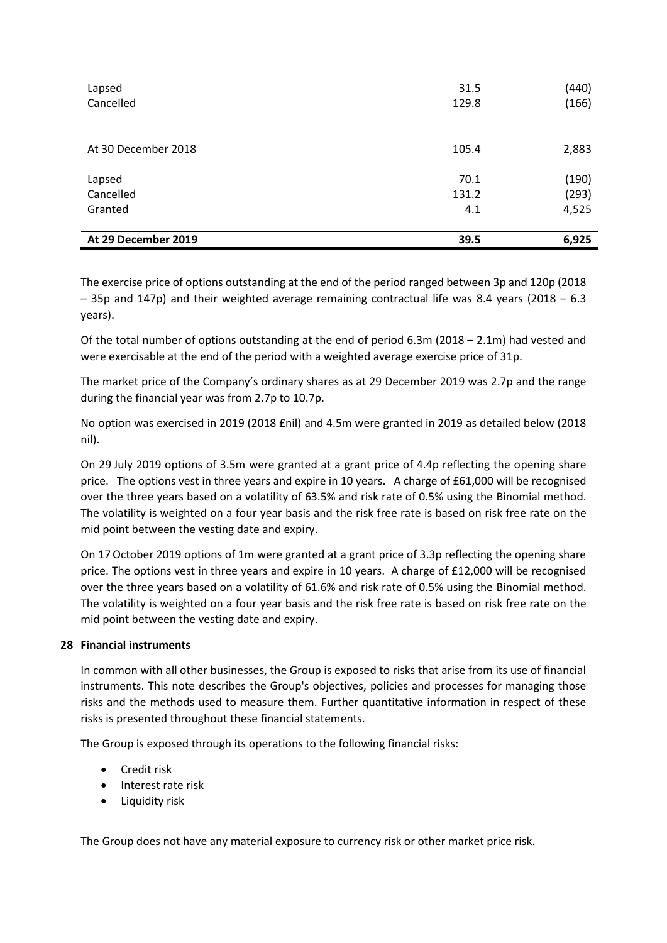| Lapsed<br>Cancelled | 31.5<br>129.8 | (440)<br>(166) |
|---------------------|---------------|----------------|
| At 30 December 2018 | 105.4         | 2,883          |
| Lapsed              | 70.1          | (190)          |
| Cancelled           | 131.2         | (293)          |
| Granted             | 4.1           | 4,525          |
|                     |               |                |
| At 29 December 2019 | 39.5          | 6,925          |

The exercise price of options outstanding at the end of the period ranged between 3p and 120p (2018 – 35p and 147p) and their weighted average remaining contractual life was 8.4 years (2018 – 6.3 years).

Of the total number of options outstanding at the end of period 6.3m (2018 – 2.1m) had vested and were exercisable at the end of the period with a weighted average exercise price of 31p.

The market price of the Company's ordinary shares as at 29 December 2019 was 2.7p and the range during the financial year was from 2.7p to 10.7p.

No option was exercised in 2019 (2018 £nil) and 4.5m were granted in 2019 as detailed below (2018 nil).

On 29 July 2019 options of 3.5m were granted at a grant price of 4.4p reflecting the opening share price. The options vest in three years and expire in 10 years. A charge of £61,000 will be recognised over the three years based on a volatility of 63.5% and risk rate of 0.5% using the Binomial method. The volatility is weighted on a four year basis and the risk free rate is based on risk free rate on the mid point between the vesting date and expiry.

On 17October 2019 options of 1m were granted at a grant price of 3.3p reflecting the opening share price. The options vest in three years and expire in 10 years. A charge of £12,000 will be recognised over the three years based on a volatility of 61.6% and risk rate of 0.5% using the Binomial method. The volatility is weighted on a four year basis and the risk free rate is based on risk free rate on the mid point between the vesting date and expiry.

# **28 Financial instruments**

In common with all other businesses, the Group is exposed to risks that arise from its use of financial instruments. This note describes the Group's objectives, policies and processes for managing those risks and the methods used to measure them. Further quantitative information in respect of these risks is presented throughout these financial statements.

The Group is exposed through its operations to the following financial risks:

- Credit risk
- Interest rate risk
- Liquidity risk

The Group does not have any material exposure to currency risk or other market price risk.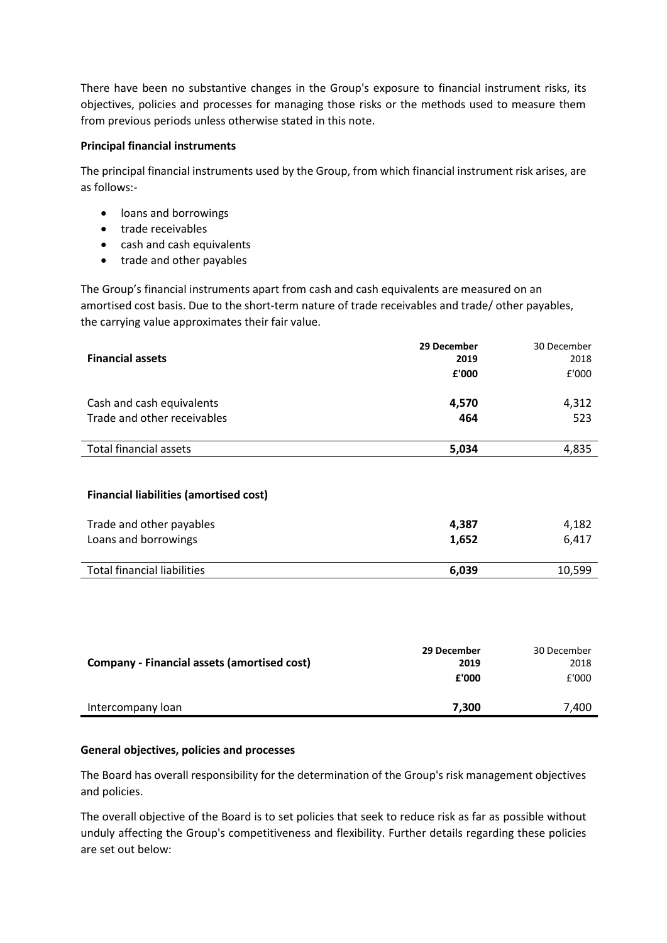There have been no substantive changes in the Group's exposure to financial instrument risks, its objectives, policies and processes for managing those risks or the methods used to measure them from previous periods unless otherwise stated in this note.

# **Principal financial instruments**

The principal financial instruments used by the Group, from which financial instrument risk arises, are as follows:-

- loans and borrowings
- trade receivables
- cash and cash equivalents
- trade and other payables

The Group's financial instruments apart from cash and cash equivalents are measured on an amortised cost basis. Due to the short-term nature of trade receivables and trade/ other payables, the carrying value approximates their fair value.

|                                               | 29 December | 30 December |
|-----------------------------------------------|-------------|-------------|
| <b>Financial assets</b>                       | 2019        | 2018        |
|                                               | £'000       | £'000       |
| Cash and cash equivalents                     | 4,570       | 4,312       |
| Trade and other receivables                   | 464         | 523         |
| <b>Total financial assets</b>                 | 5,034       | 4,835       |
|                                               |             |             |
| <b>Financial liabilities (amortised cost)</b> |             |             |
| Trade and other payables                      | 4,387       | 4,182       |
| Loans and borrowings                          | 1,652       | 6,417       |
| <b>Total financial liabilities</b>            | 6,039       | 10,599      |
|                                               |             |             |

| Company - Financial assets (amortised cost) | 29 December<br>2019<br>£'000 | 30 December<br>2018<br>£'000 |
|---------------------------------------------|------------------------------|------------------------------|
| Intercompany loan                           | 7.300                        | 7.400                        |

# **General objectives, policies and processes**

The Board has overall responsibility for the determination of the Group's risk management objectives and policies.

The overall objective of the Board is to set policies that seek to reduce risk as far as possible without unduly affecting the Group's competitiveness and flexibility. Further details regarding these policies are set out below: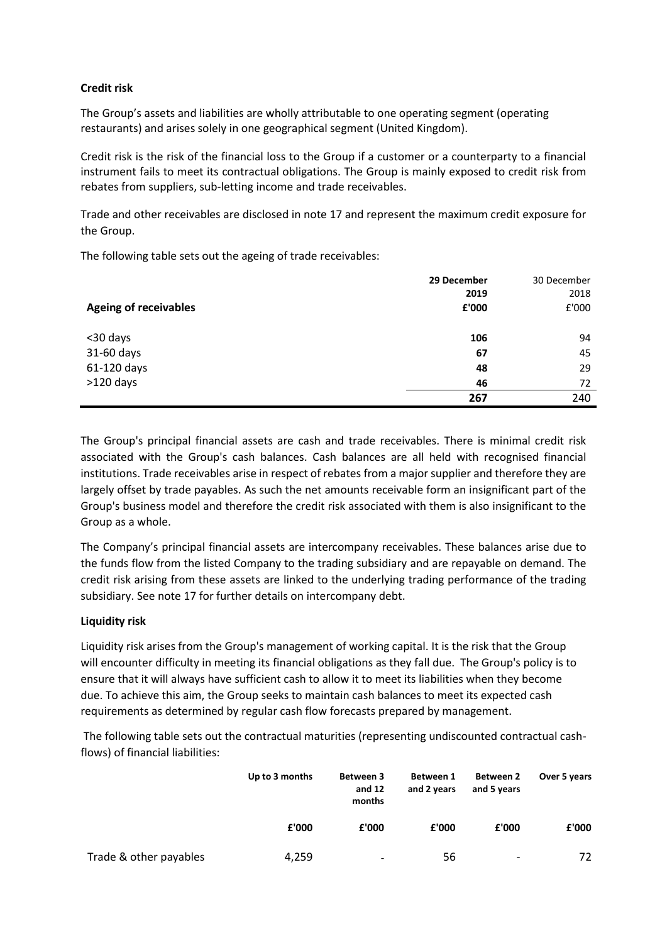# **Credit risk**

The Group's assets and liabilities are wholly attributable to one operating segment (operating restaurants) and arises solely in one geographical segment (United Kingdom).

Credit risk is the risk of the financial loss to the Group if a customer or a counterparty to a financial instrument fails to meet its contractual obligations. The Group is mainly exposed to credit risk from rebates from suppliers, sub-letting income and trade receivables.

Trade and other receivables are disclosed in note 17 and represent the maximum credit exposure for the Group.

The following table sets out the ageing of trade receivables:

|                              | 29 December | 30 December |
|------------------------------|-------------|-------------|
|                              | 2019        | 2018        |
| <b>Ageing of receivables</b> | £'000       | £'000       |
|                              |             |             |
| <30 days                     | 106         | 94          |
| 31-60 days                   | 67          | 45          |
| 61-120 days                  | 48          | 29          |
| $>120$ days                  | 46          | 72          |
|                              | 267         | 240         |

The Group's principal financial assets are cash and trade receivables. There is minimal credit risk associated with the Group's cash balances. Cash balances are all held with recognised financial institutions. Trade receivables arise in respect of rebates from a major supplier and therefore they are largely offset by trade payables. As such the net amounts receivable form an insignificant part of the Group's business model and therefore the credit risk associated with them is also insignificant to the Group as a whole.

The Company's principal financial assets are intercompany receivables. These balances arise due to the funds flow from the listed Company to the trading subsidiary and are repayable on demand. The credit risk arising from these assets are linked to the underlying trading performance of the trading subsidiary. See note 17 for further details on intercompany debt.

# **Liquidity risk**

Liquidity risk arises from the Group's management of working capital. It is the risk that the Group will encounter difficulty in meeting its financial obligations as they fall due. The Group's policy is to ensure that it will always have sufficient cash to allow it to meet its liabilities when they become due. To achieve this aim, the Group seeks to maintain cash balances to meet its expected cash requirements as determined by regular cash flow forecasts prepared by management.

The following table sets out the contractual maturities (representing undiscounted contractual cashflows) of financial liabilities:

|                        | Up to 3 months | <b>Between 3</b><br>and $12$<br>months | Between 1<br>and 2 years | <b>Between 2</b><br>and 5 years | Over 5 years |
|------------------------|----------------|----------------------------------------|--------------------------|---------------------------------|--------------|
|                        | £'000          | £'000                                  | £'000                    | £'000                           | £'000        |
| Trade & other payables | 4,259          | $\overline{\phantom{0}}$               | 56                       | -                               | 72           |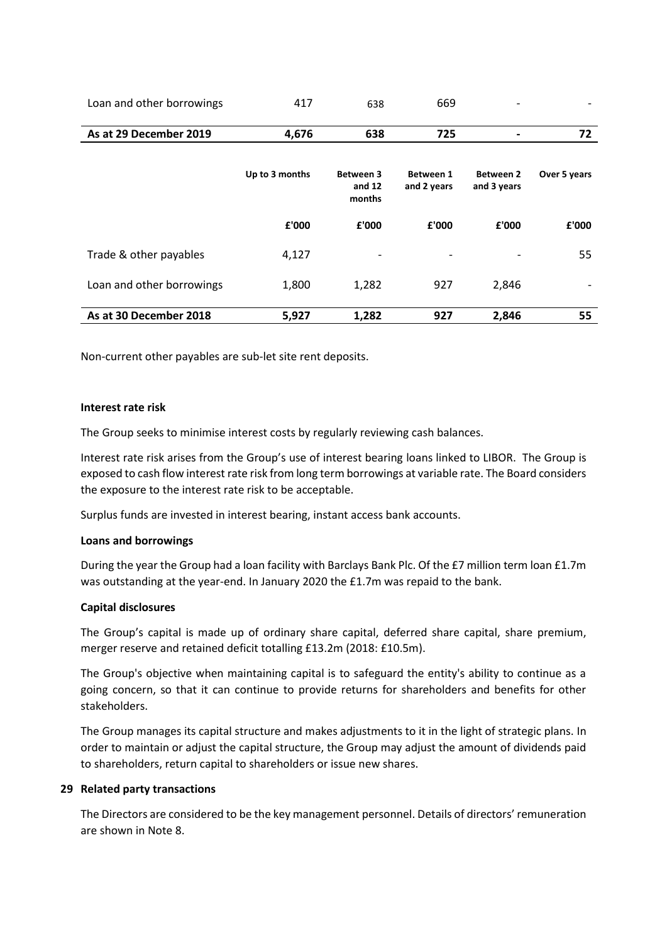| Loan and other borrowings | 417            | 638                                  | 669                             |                                 |              |
|---------------------------|----------------|--------------------------------------|---------------------------------|---------------------------------|--------------|
| As at 29 December 2019    | 4,676          | 638                                  | 725                             |                                 | 72           |
|                           | Up to 3 months | <b>Between 3</b><br>and 12<br>months | <b>Between 1</b><br>and 2 years | <b>Between 2</b><br>and 3 years | Over 5 years |
|                           | £'000          | £'000                                | £'000                           | £'000                           | £'000        |
| Trade & other payables    | 4,127          |                                      |                                 |                                 | 55           |
| Loan and other borrowings | 1,800          | 1,282                                | 927                             | 2,846                           |              |
| As at 30 December 2018    | 5,927          | 1,282                                | 927                             | 2,846                           | 55           |

Non-current other payables are sub-let site rent deposits.

#### **Interest rate risk**

The Group seeks to minimise interest costs by regularly reviewing cash balances.

Interest rate risk arises from the Group's use of interest bearing loans linked to LIBOR. The Group is exposed to cash flow interest rate risk from long term borrowings at variable rate. The Board considers the exposure to the interest rate risk to be acceptable.

Surplus funds are invested in interest bearing, instant access bank accounts.

# **Loans and borrowings**

During the year the Group had a loan facility with Barclays Bank Plc. Of the £7 million term loan £1.7m was outstanding at the year-end. In January 2020 the £1.7m was repaid to the bank.

# **Capital disclosures**

The Group's capital is made up of ordinary share capital, deferred share capital, share premium, merger reserve and retained deficit totalling £13.2m (2018: £10.5m).

The Group's objective when maintaining capital is to safeguard the entity's ability to continue as a going concern, so that it can continue to provide returns for shareholders and benefits for other stakeholders.

The Group manages its capital structure and makes adjustments to it in the light of strategic plans. In order to maintain or adjust the capital structure, the Group may adjust the amount of dividends paid to shareholders, return capital to shareholders or issue new shares.

# **29 Related party transactions**

The Directors are considered to be the key management personnel. Details of directors' remuneration are shown in Note 8.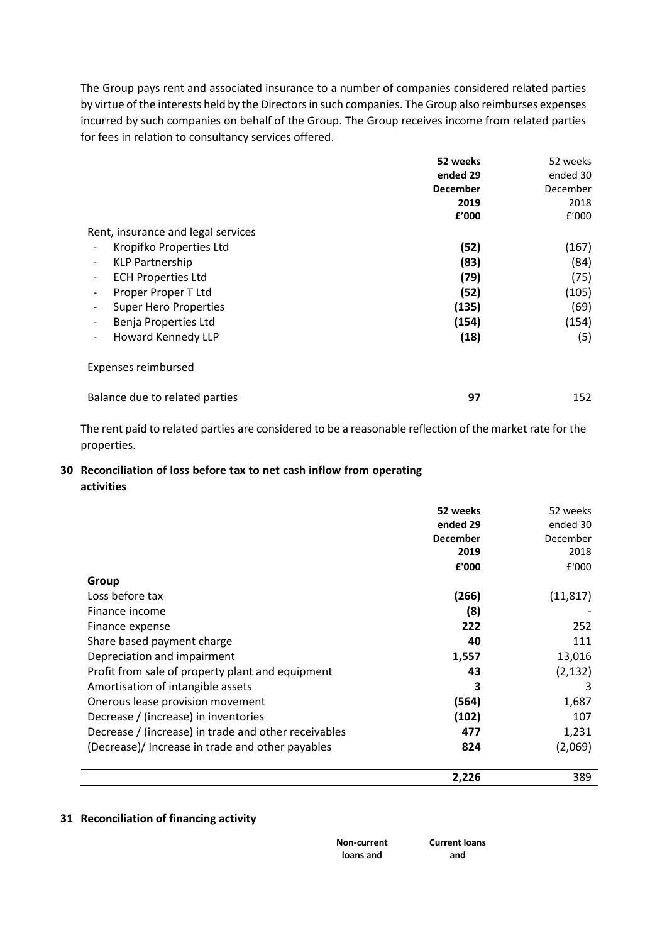The Group pays rent and associated insurance to a number of companies considered related parties by virtue of the interests held by the Directors in such companies. The Group also reimburses expenses incurred by such companies on behalf of the Group. The Group receives income from related parties for fees in relation to consultancy services offered.

|                                    | 52 weeks        | 52 weeks |
|------------------------------------|-----------------|----------|
|                                    | ended 29        | ended 30 |
|                                    | <b>December</b> | December |
|                                    | 2019            | 2018     |
|                                    | £'000           | f'000    |
| Rent, insurance and legal services |                 |          |
| Kropifko Properties Ltd            | (52)            | (167)    |
| <b>KLP Partnership</b>             | (83)            | (84)     |
| <b>ECH Properties Ltd</b>          | (79)            | (75)     |
| Proper Proper T Ltd                | (52)            | (105)    |
| <b>Super Hero Properties</b>       | (135)           | (69)     |
| Benja Properties Ltd               | (154)           | (154)    |
| Howard Kennedy LLP                 | (18)            | (5)      |
| <b>Expenses reimbursed</b>         |                 |          |
| Balance due to related parties     | 97              | 152      |

The rent paid to related parties are considered to be a reasonable reflection of the market rate for the properties.

# **30 Reconciliation of loss before tax to net cash inflow from operating activities**

|                                                      | 52 weeks        | 52 weeks  |
|------------------------------------------------------|-----------------|-----------|
|                                                      | ended 29        | ended 30  |
|                                                      | <b>December</b> | December  |
|                                                      | 2019            | 2018      |
|                                                      | £'000           | £'000     |
| Group                                                |                 |           |
| Loss before tax                                      | (266)           | (11, 817) |
| Finance income                                       | (8)             |           |
| Finance expense                                      | 222             | 252       |
| Share based payment charge                           | 40              | 111       |
| Depreciation and impairment                          | 1,557           | 13,016    |
| Profit from sale of property plant and equipment     | 43              | (2, 132)  |
| Amortisation of intangible assets                    | 3               | 3         |
| Onerous lease provision movement                     | (564)           | 1,687     |
| Decrease / (increase) in inventories                 | (102)           | 107       |
| Decrease / (increase) in trade and other receivables | 477             | 1,231     |
| (Decrease)/ Increase in trade and other payables     | 824             | (2,069)   |
|                                                      | 2,226           | 389       |

# **31 Reconciliation of financing activity**

**Non-current loans and** 

**Current loans and**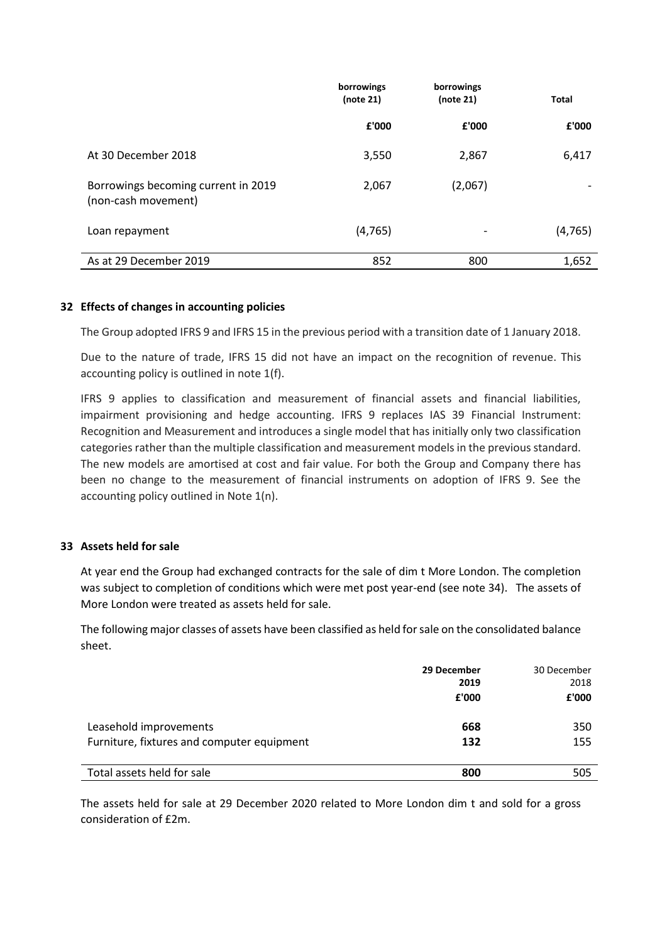|                                                            | borrowings<br>borrowings<br>(note 21)<br>(note 21) |                          | Total    |
|------------------------------------------------------------|----------------------------------------------------|--------------------------|----------|
|                                                            | £'000                                              | £'000                    | £'000    |
| At 30 December 2018                                        | 3,550                                              | 2,867                    | 6,417    |
| Borrowings becoming current in 2019<br>(non-cash movement) | 2,067                                              | (2,067)                  |          |
| Loan repayment                                             | (4, 765)                                           | $\overline{\phantom{a}}$ | (4, 765) |
| As at 29 December 2019                                     | 852                                                | 800                      | 1,652    |

# **32 Effects of changes in accounting policies**

The Group adopted IFRS 9 and IFRS 15 in the previous period with a transition date of 1 January 2018.

Due to the nature of trade, IFRS 15 did not have an impact on the recognition of revenue. This accounting policy is outlined in note 1(f).

IFRS 9 applies to classification and measurement of financial assets and financial liabilities, impairment provisioning and hedge accounting. IFRS 9 replaces IAS 39 Financial Instrument: Recognition and Measurement and introduces a single model that has initially only two classification categories rather than the multiple classification and measurement models in the previous standard. The new models are amortised at cost and fair value. For both the Group and Company there has been no change to the measurement of financial instruments on adoption of IFRS 9. See the accounting policy outlined in Note 1(n).

#### **33 Assets held for sale**

At year end the Group had exchanged contracts for the sale of dim t More London. The completion was subject to completion of conditions which were met post year-end (see note 34). The assets of More London were treated as assets held for sale.

The following major classes of assets have been classified as held for sale on the consolidated balance sheet.

|                                            | 29 December | 30 December |
|--------------------------------------------|-------------|-------------|
|                                            | 2019        | 2018        |
|                                            | £'000       | £'000       |
| Leasehold improvements                     | 668         | 350         |
| Furniture, fixtures and computer equipment | 132         | 155         |
| Total assets held for sale                 | 800         | 505         |

The assets held for sale at 29 December 2020 related to More London dim t and sold for a gross consideration of £2m.